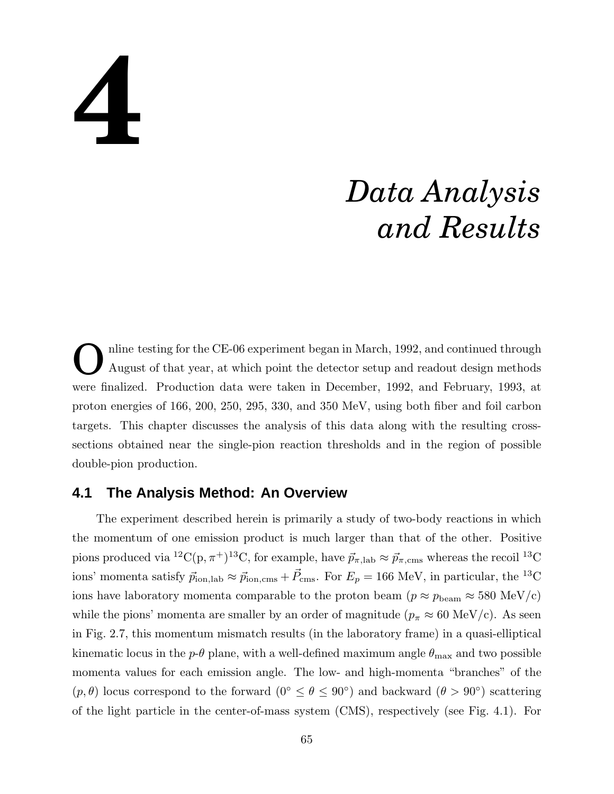# **4**

# *Data Analysis and Results*

O nline testing for the CE-06 experiment began in March, 1992, and continued through August of that year, at which point the detector setup and readout design methods were finalized. Production data were taken in December, 1992, and February, 1993, at proton energies of 166, 200, 250, 295, 330, and 350 MeV, using both fiber and foil carbon targets. This chapter discusses the analysis of this data along with the resulting crosssections obtained near the single-pion reaction thresholds and in the region of possible double-pion production.

# **4.1 The Analysis Method: An Overview**

The experiment described herein is primarily a study of two-body reactions in which the momentum of one emission product is much larger than that of the other. Positive pions produced via  ${}^{12}C(p, \pi^+){}^{13}C$ , for example, have  $\vec{p}_{\pi, \text{lab}} \approx \vec{p}_{\pi, \text{cms}}$  whereas the recoil  ${}^{13}C$ ions' momenta satisfy  $\vec{p}_{\text{ion,lab}} \approx \vec{p}_{\text{ion,cms}} + \vec{P}_{\text{cms}}$ . For  $E_p = 166 \text{ MeV}$ , in particular, the <sup>13</sup>C ions have laboratory momenta comparable to the proton beam  $(p \approx p_{\text{beam}} \approx 580 \text{ MeV/c})$ while the pions' momenta are smaller by an order of magnitude ( $p_{\pi} \approx 60 \text{ MeV/c}$ ). As seen in Fig. 2.7, this momentum mismatch results (in the laboratory frame) in a quasi-elliptical kinematic locus in the  $p-\theta$  plane, with a well-defined maximum angle  $\theta_{\text{max}}$  and two possible momenta values for each emission angle. The low- and high-momenta "branches" of the  $(p, \theta)$  locus correspond to the forward  $(0^{\circ} \le \theta \le 90^{\circ})$  and backward  $(\theta > 90^{\circ})$  scattering of the light particle in the center-of-mass system (CMS), respectively (see Fig. 4.1). For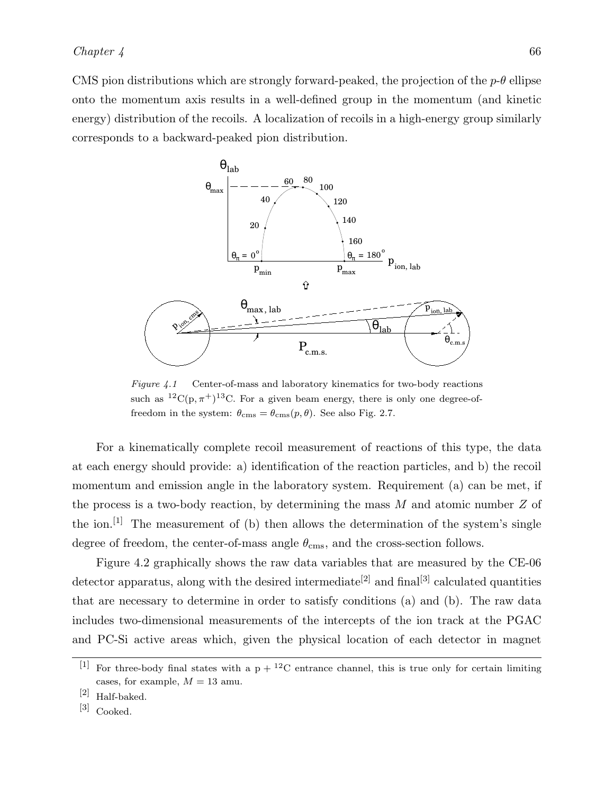CMS pion distributions which are strongly forward-peaked, the projection of the  $p-\theta$  ellipse onto the momentum axis results in a well-defined group in the momentum (and kinetic energy) distribution of the recoils. A localization of recoils in a high-energy group similarly corresponds to a backward-peaked pion distribution.



Figure 4.1 Center-of-mass and laboratory kinematics for two-body reactions such as  ${}^{12}C(p,\pi^+){}^{13}C$ . For a given beam energy, there is only one degree-offreedom in the system:  $\theta_{\rm cms} = \theta_{\rm cms}(p,\theta)$ . See also Fig. 2.7.

For a kinematically complete recoil measurement of reactions of this type, the data at each energy should provide: a) identification of the reaction particles, and b) the recoil momentum and emission angle in the laboratory system. Requirement (a) can be met, if the process is a two-body reaction, by determining the mass  $M$  and atomic number  $Z$  of the ion.<sup>[1]</sup> The measurement of (b) then allows the determination of the system's single degree of freedom, the center-of-mass angle  $\theta_{\rm cms}$ , and the cross-section follows.

Figure 4.2 graphically shows the raw data variables that are measured by the CE-06 detector apparatus, along with the desired intermediate<sup>[2]</sup> and final<sup>[3]</sup> calculated quantities that are necessary to determine in order to satisfy conditions (a) and (b). The raw data includes two-dimensional measurements of the intercepts of the ion track at the PGAC and PC-Si active areas which, given the physical location of each detector in magnet

<sup>&</sup>lt;sup>[1]</sup> For three-body final states with a  $p + {}^{12}C$  entrance channel, this is true only for certain limiting cases, for example,  $M = 13$  amu.

<sup>[2]</sup> Half-baked.

<sup>[3]</sup> Cooked.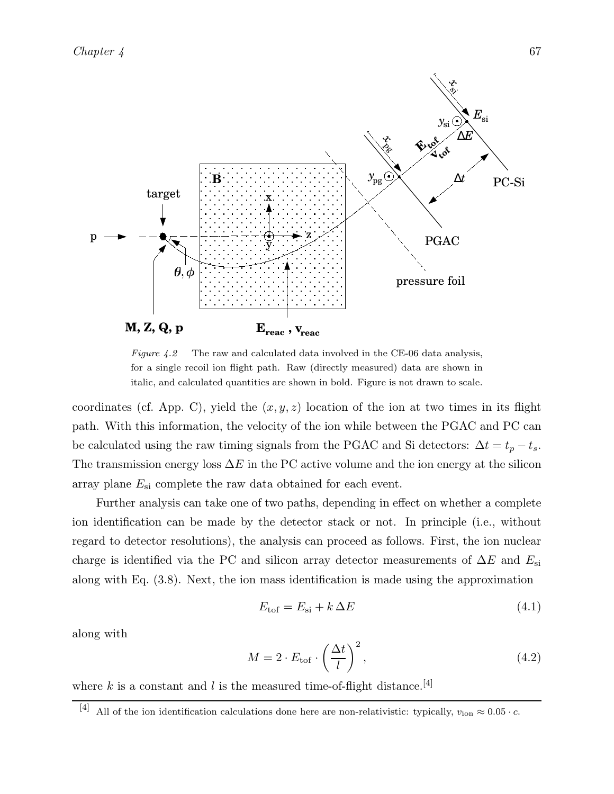*Chapter 4* 67



Figure 4.2 The raw and calculated data involved in the CE-06 data analysis, for a single recoil ion flight path. Raw (directly measured) data are shown in italic, and calculated quantities are shown in bold. Figure is not drawn to scale.

coordinates (cf. App. C), yield the  $(x, y, z)$  location of the ion at two times in its flight path. With this information, the velocity of the ion while between the PGAC and PC can be calculated using the raw timing signals from the PGAC and Si detectors:  $\Delta t = t_p - t_s$ . The transmission energy loss  $\Delta E$  in the PC active volume and the ion energy at the silicon array plane  $E_{\rm si}$  complete the raw data obtained for each event.

Further analysis can take one of two paths, depending in effect on whether a complete ion identification can be made by the detector stack or not. In principle (i.e., without regard to detector resolutions), the analysis can proceed as follows. First, the ion nuclear charge is identified via the PC and silicon array detector measurements of  $\Delta E$  and  $E_{\rm si}$ along with Eq. (3.8). Next, the ion mass identification is made using the approximation

$$
E_{\text{tof}} = E_{\text{si}} + k\,\Delta E \tag{4.1}
$$

along with

$$
M = 2 \cdot E_{\text{tof}} \cdot \left(\frac{\Delta t}{l}\right)^2,\tag{4.2}
$$

where k is a constant and l is the measured time-of-flight distance.<sup>[4]</sup>

<sup>[4]</sup> All of the ion identification calculations done here are non-relativistic: typically,  $v_{\text{ion}} \approx 0.05 \cdot c$ .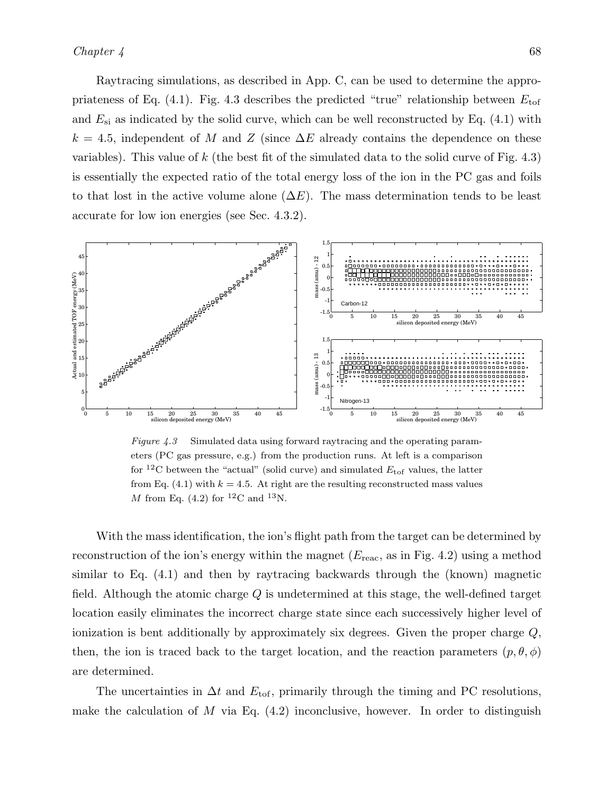Raytracing simulations, as described in App. C, can be used to determine the appropriateness of Eq. (4.1). Fig. 4.3 describes the predicted "true" relationship between  $E_{\text{tof}}$ and  $E_{\rm si}$  as indicated by the solid curve, which can be well reconstructed by Eq. (4.1) with  $k = 4.5$ , independent of M and Z (since  $\Delta E$  already contains the dependence on these variables). This value of k (the best fit of the simulated data to the solid curve of Fig.  $4.3$ ) is essentially the expected ratio of the total energy loss of the ion in the PC gas and foils to that lost in the active volume alone  $(\Delta E)$ . The mass determination tends to be least accurate for low ion energies (see Sec. 4.3.2).



Figure 4.3 Simulated data using forward raytracing and the operating parameters (PC gas pressure, e.g.) from the production runs. At left is a comparison for <sup>12</sup>C between the "actual" (solid curve) and simulated  $E_{\text{tof}}$  values, the latter from Eq. (4.1) with  $k = 4.5$ . At right are the resulting reconstructed mass values M from Eq. (4.2) for <sup>12</sup>C and <sup>13</sup>N.

With the mass identification, the ion's flight path from the target can be determined by reconstruction of the ion's energy within the magnet  $(E_{\text{reac}})$ , as in Fig. 4.2) using a method similar to Eq. (4.1) and then by raytracing backwards through the (known) magnetic field. Although the atomic charge Q is undetermined at this stage, the well-defined target location easily eliminates the incorrect charge state since each successively higher level of ionization is bent additionally by approximately six degrees. Given the proper charge  $Q$ , then, the ion is traced back to the target location, and the reaction parameters  $(p, \theta, \phi)$ are determined.

The uncertainties in  $\Delta t$  and  $E_{\text{tof}}$ , primarily through the timing and PC resolutions, make the calculation of  $M$  via Eq.  $(4.2)$  inconclusive, however. In order to distinguish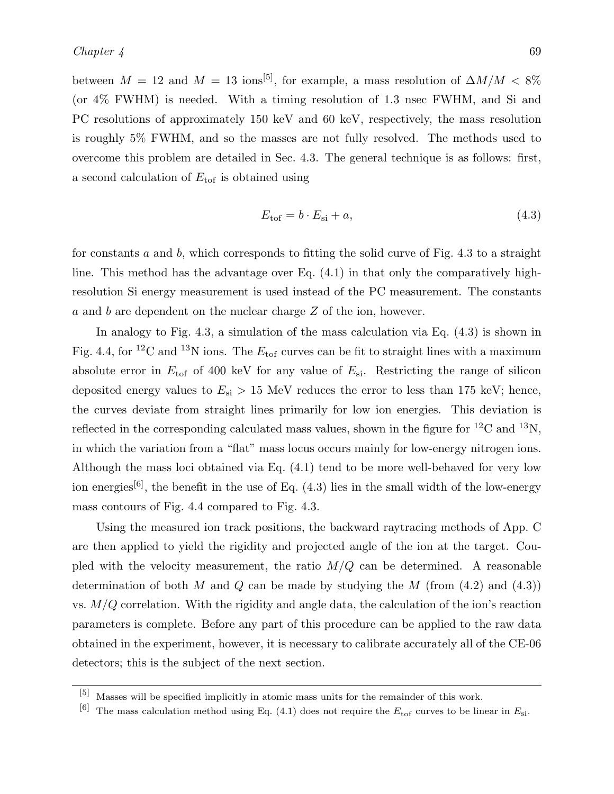between  $M = 12$  and  $M = 13$  ions<sup>[5]</sup>, for example, a mass resolution of  $\Delta M/M < 8\%$ (or 4% FWHM) is needed. With a timing resolution of 1.3 nsec FWHM, and Si and PC resolutions of approximately 150 keV and 60 keV, respectively, the mass resolution is roughly 5% FWHM, and so the masses are not fully resolved. The methods used to overcome this problem are detailed in Sec. 4.3. The general technique is as follows: first, a second calculation of  $E_{\text{tof}}$  is obtained using

$$
E_{\text{tof}} = b \cdot E_{\text{si}} + a,\tag{4.3}
$$

for constants a and b, which corresponds to fitting the solid curve of Fig. 4.3 to a straight line. This method has the advantage over Eq. (4.1) in that only the comparatively highresolution Si energy measurement is used instead of the PC measurement. The constants a and b are dependent on the nuclear charge Z of the ion, however.

In analogy to Fig. 4.3, a simulation of the mass calculation via Eq. (4.3) is shown in Fig. 4.4, for <sup>12</sup>C and <sup>13</sup>N ions. The  $E_{\text{tof}}$  curves can be fit to straight lines with a maximum absolute error in  $E_{\text{tof}}$  of 400 keV for any value of  $E_{\text{si}}$ . Restricting the range of silicon deposited energy values to  $E_{\rm si} > 15$  MeV reduces the error to less than 175 keV; hence, the curves deviate from straight lines primarily for low ion energies. This deviation is reflected in the corresponding calculated mass values, shown in the figure for  ${}^{12}C$  and  ${}^{13}N$ , in which the variation from a "flat" mass locus occurs mainly for low-energy nitrogen ions. Although the mass loci obtained via Eq. (4.1) tend to be more well-behaved for very low ion energies<sup>[6]</sup>, the benefit in the use of Eq.  $(4.3)$  lies in the small width of the low-energy mass contours of Fig. 4.4 compared to Fig. 4.3.

Using the measured ion track positions, the backward raytracing methods of App. C are then applied to yield the rigidity and projected angle of the ion at the target. Coupled with the velocity measurement, the ratio  $M/Q$  can be determined. A reasonable determination of both M and Q can be made by studying the M (from  $(4.2)$ ) and  $(4.3)$ ) vs.  $M/Q$  correlation. With the rigidity and angle data, the calculation of the ion's reaction parameters is complete. Before any part of this procedure can be applied to the raw data obtained in the experiment, however, it is necessary to calibrate accurately all of the CE-06 detectors; this is the subject of the next section.

<sup>[5]</sup> Masses will be specified implicitly in atomic mass units for the remainder of this work.

<sup>&</sup>lt;sup>[6]</sup> The mass calculation method using Eq. (4.1) does not require the  $E_{\text{tof}}$  curves to be linear in  $E_{\text{si}}$ .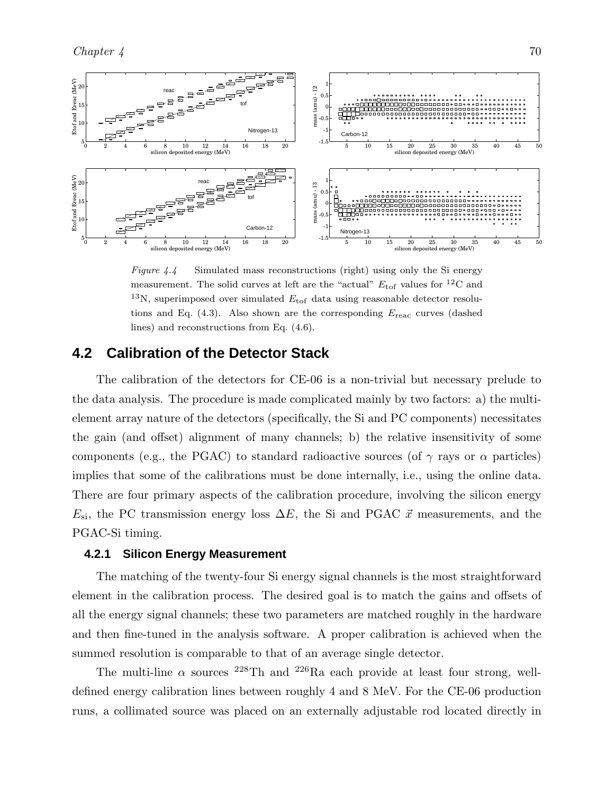

Figure 4.4 Simulated mass reconstructions (right) using only the Si energy measurement. The solid curves at left are the "actual"  $E_{\text{tof}}$  values for <sup>12</sup>C and <sup>13</sup>N, superimposed over simulated  $E_{\text{tof}}$  data using reasonable detector resolutions and Eq.  $(4.3)$ . Also shown are the corresponding  $E_{\text{reac}}$  curves (dashed lines) and reconstructions from Eq. (4.6).

## **4.2 Calibration of the Detector Stack**

The calibration of the detectors for CE-06 is a non-trivial but necessary prelude to the data analysis. The procedure is made complicated mainly by two factors: a) the multielement array nature of the detectors (specifically, the Si and PC components) necessitates the gain (and offset) alignment of many channels; b) the relative insensitivity of some components (e.g., the PGAC) to standard radioactive sources (of  $\gamma$  rays or  $\alpha$  particles) implies that some of the calibrations must be done internally, i.e., using the online data. There are four primary aspects of the calibration procedure, involving the silicon energy  $E_{\rm si}$ , the PC transmission energy loss  $\Delta E$ , the Si and PGAC  $\vec{x}$  measurements, and the PGAC-Si timing.

#### **4.2.1 Silicon Energy Measurement**

The matching of the twenty-four Si energy signal channels is the most straightforward element in the calibration process. The desired goal is to match the gains and offsets of all the energy signal channels; these two parameters are matched roughly in the hardware and then fine-tuned in the analysis software. A proper calibration is achieved when the summed resolution is comparable to that of an average single detector.

The multi-line  $\alpha$  sources <sup>228</sup>Th and <sup>226</sup>Ra each provide at least four strong, welldefined energy calibration lines between roughly 4 and 8 MeV. For the CE-06 production runs, a collimated source was placed on an externally adjustable rod located directly in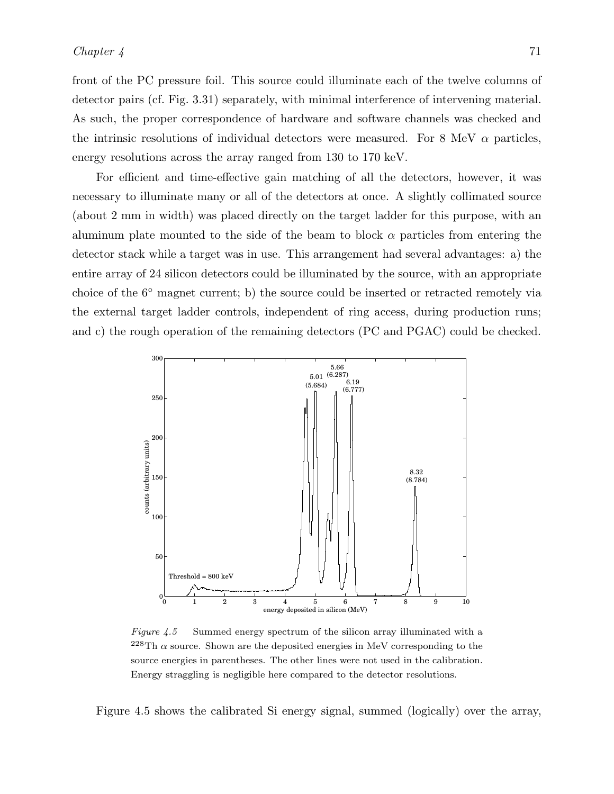front of the PC pressure foil. This source could illuminate each of the twelve columns of detector pairs (cf. Fig. 3.31) separately, with minimal interference of intervening material. As such, the proper correspondence of hardware and software channels was checked and the intrinsic resolutions of individual detectors were measured. For 8 MeV  $\alpha$  particles, energy resolutions across the array ranged from 130 to 170 keV.

For efficient and time-effective gain matching of all the detectors, however, it was necessary to illuminate many or all of the detectors at once. A slightly collimated source (about 2 mm in width) was placed directly on the target ladder for this purpose, with an aluminum plate mounted to the side of the beam to block  $\alpha$  particles from entering the detector stack while a target was in use. This arrangement had several advantages: a) the entire array of 24 silicon detectors could be illuminated by the source, with an appropriate choice of the 6◦ magnet current; b) the source could be inserted or retracted remotely via the external target ladder controls, independent of ring access, during production runs; and c) the rough operation of the remaining detectors (PC and PGAC) could be checked.



Figure 4.5 Summed energy spectrum of the silicon array illuminated with a  $^{228}$ Th  $\alpha$  source. Shown are the deposited energies in MeV corresponding to the source energies in parentheses. The other lines were not used in the calibration. Energy straggling is negligible here compared to the detector resolutions.

Figure 4.5 shows the calibrated Si energy signal, summed (logically) over the array,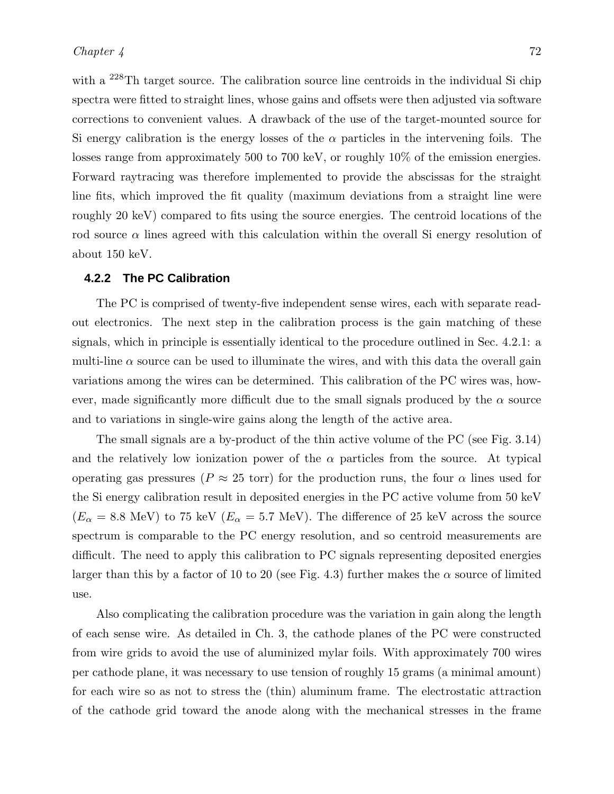with a <sup>228</sup>Th target source. The calibration source line centroids in the individual Si chip spectra were fitted to straight lines, whose gains and offsets were then adjusted via software corrections to convenient values. A drawback of the use of the target-mounted source for Si energy calibration is the energy losses of the  $\alpha$  particles in the intervening foils. The losses range from approximately 500 to 700 keV, or roughly 10% of the emission energies. Forward raytracing was therefore implemented to provide the abscissas for the straight line fits, which improved the fit quality (maximum deviations from a straight line were roughly 20 keV) compared to fits using the source energies. The centroid locations of the rod source  $\alpha$  lines agreed with this calculation within the overall Si energy resolution of about 150 keV.

#### **4.2.2 The PC Calibration**

The PC is comprised of twenty-five independent sense wires, each with separate readout electronics. The next step in the calibration process is the gain matching of these signals, which in principle is essentially identical to the procedure outlined in Sec. 4.2.1: a multi-line  $\alpha$  source can be used to illuminate the wires, and with this data the overall gain variations among the wires can be determined. This calibration of the PC wires was, however, made significantly more difficult due to the small signals produced by the  $\alpha$  source and to variations in single-wire gains along the length of the active area.

The small signals are a by-product of the thin active volume of the PC (see Fig. 3.14) and the relatively low ionization power of the  $\alpha$  particles from the source. At typical operating gas pressures ( $P \approx 25$  torr) for the production runs, the four  $\alpha$  lines used for the Si energy calibration result in deposited energies in the PC active volume from 50 keV  $(E_{\alpha} = 8.8 \text{ MeV})$  to 75 keV  $(E_{\alpha} = 5.7 \text{ MeV})$ . The difference of 25 keV across the source spectrum is comparable to the PC energy resolution, and so centroid measurements are difficult. The need to apply this calibration to PC signals representing deposited energies larger than this by a factor of 10 to 20 (see Fig. 4.3) further makes the  $\alpha$  source of limited use.

Also complicating the calibration procedure was the variation in gain along the length of each sense wire. As detailed in Ch. 3, the cathode planes of the PC were constructed from wire grids to avoid the use of aluminized mylar foils. With approximately 700 wires per cathode plane, it was necessary to use tension of roughly 15 grams (a minimal amount) for each wire so as not to stress the (thin) aluminum frame. The electrostatic attraction of the cathode grid toward the anode along with the mechanical stresses in the frame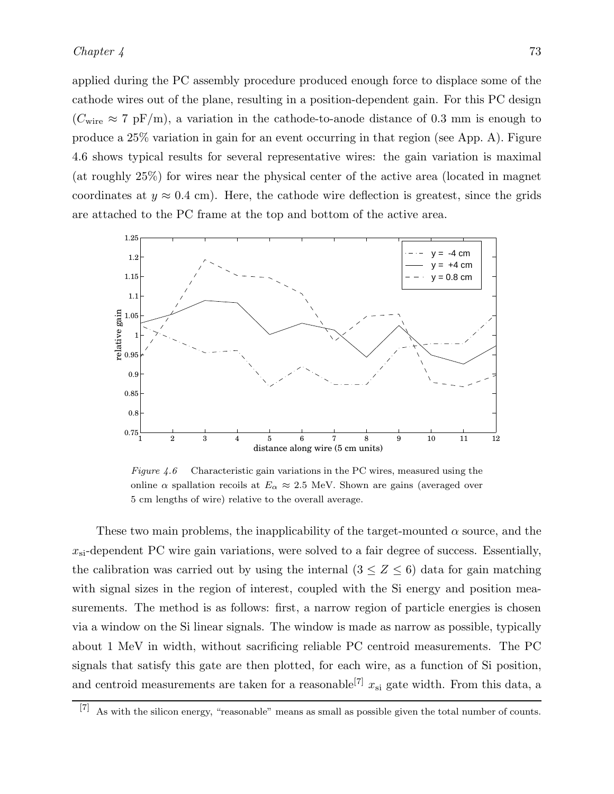applied during the PC assembly procedure produced enough force to displace some of the cathode wires out of the plane, resulting in a position-dependent gain. For this PC design  $(C_{\text{wire}} \approx 7 \text{ pF/m})$ , a variation in the cathode-to-anode distance of 0.3 mm is enough to produce a 25% variation in gain for an event occurring in that region (see App. A). Figure 4.6 shows typical results for several representative wires: the gain variation is maximal (at roughly 25%) for wires near the physical center of the active area (located in magnet coordinates at  $y \approx 0.4$  cm). Here, the cathode wire deflection is greatest, since the grids are attached to the PC frame at the top and bottom of the active area.



Figure 4.6 Characteristic gain variations in the PC wires, measured using the online  $\alpha$  spallation recoils at  $E_{\alpha} \approx 2.5$  MeV. Shown are gains (averaged over 5 cm lengths of wire) relative to the overall average.

These two main problems, the inapplicability of the target-mounted  $\alpha$  source, and the  $x_{si}$ -dependent PC wire gain variations, were solved to a fair degree of success. Essentially, the calibration was carried out by using the internal  $(3 \leq Z \leq 6)$  data for gain matching with signal sizes in the region of interest, coupled with the Si energy and position measurements. The method is as follows: first, a narrow region of particle energies is chosen via a window on the Si linear signals. The window is made as narrow as possible, typically about 1 MeV in width, without sacrificing reliable PC centroid measurements. The PC signals that satisfy this gate are then plotted, for each wire, as a function of Si position, and centroid measurements are taken for a reasonable<sup>[7]</sup>  $x_{si}$  gate width. From this data, a

<sup>[7]</sup> As with the silicon energy, "reasonable" means as small as possible given the total number of counts.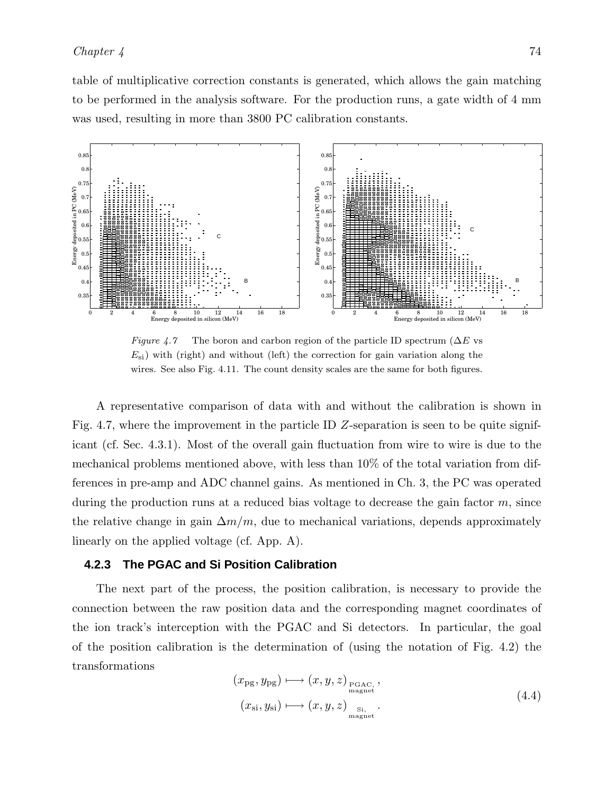table of multiplicative correction constants is generated, which allows the gain matching to be performed in the analysis software. For the production runs, a gate width of 4 mm was used, resulting in more than 3800 PC calibration constants.



Figure 4.7 The boron and carbon region of the particle ID spectrum ( $\Delta E$  vs  $E_{\rm{si}}$ ) with (right) and without (left) the correction for gain variation along the wires. See also Fig. 4.11. The count density scales are the same for both figures.

A representative comparison of data with and without the calibration is shown in Fig. 4.7, where the improvement in the particle ID Z-separation is seen to be quite significant (cf. Sec. 4.3.1). Most of the overall gain fluctuation from wire to wire is due to the mechanical problems mentioned above, with less than 10% of the total variation from differences in pre-amp and ADC channel gains. As mentioned in Ch. 3, the PC was operated during the production runs at a reduced bias voltage to decrease the gain factor  $m$ , since the relative change in gain  $\Delta m/m$ , due to mechanical variations, depends approximately linearly on the applied voltage (cf. App. A).

#### **4.2.3 The PGAC and Si Position Calibration**

The next part of the process, the position calibration, is necessary to provide the connection between the raw position data and the corresponding magnet coordinates of the ion track's interception with the PGAC and Si detectors. In particular, the goal of the position calibration is the determination of (using the notation of Fig. 4.2) the transformations

$$
(x_{\rm pg}, y_{\rm pg}) \longmapsto (x, y, z)_{\rm PGAC,},
$$
  

$$
(x_{\rm si}, y_{\rm si}) \longmapsto (x, y, z)_{\rm Si, ...}_{\rm magnet}
$$
 (4.4)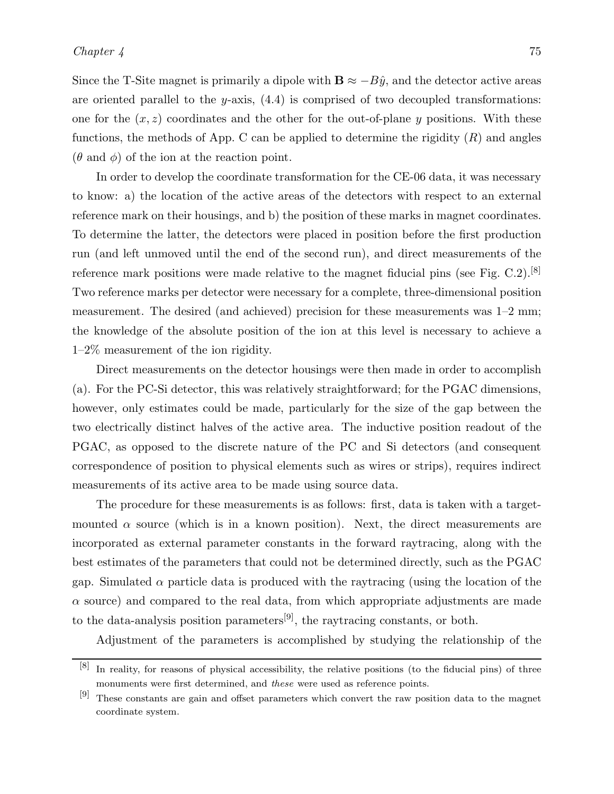Since the T-Site magnet is primarily a dipole with  $\mathbf{B} \approx -B\hat{y}$ , and the detector active areas are oriented parallel to the y-axis,  $(4.4)$  is comprised of two decoupled transformations: one for the  $(x, z)$  coordinates and the other for the out-of-plane y positions. With these functions, the methods of App. C can be applied to determine the rigidity  $(R)$  and angles  $(\theta \text{ and } \phi)$  of the ion at the reaction point.

In order to develop the coordinate transformation for the CE-06 data, it was necessary to know: a) the location of the active areas of the detectors with respect to an external reference mark on their housings, and b) the position of these marks in magnet coordinates. To determine the latter, the detectors were placed in position before the first production run (and left unmoved until the end of the second run), and direct measurements of the reference mark positions were made relative to the magnet fiducial pins (see Fig. C.2).<sup>[8]</sup> Two reference marks per detector were necessary for a complete, three-dimensional position measurement. The desired (and achieved) precision for these measurements was 1–2 mm; the knowledge of the absolute position of the ion at this level is necessary to achieve a 1–2% measurement of the ion rigidity.

Direct measurements on the detector housings were then made in order to accomplish (a). For the PC-Si detector, this was relatively straightforward; for the PGAC dimensions, however, only estimates could be made, particularly for the size of the gap between the two electrically distinct halves of the active area. The inductive position readout of the PGAC, as opposed to the discrete nature of the PC and Si detectors (and consequent correspondence of position to physical elements such as wires or strips), requires indirect measurements of its active area to be made using source data.

The procedure for these measurements is as follows: first, data is taken with a targetmounted  $\alpha$  source (which is in a known position). Next, the direct measurements are incorporated as external parameter constants in the forward raytracing, along with the best estimates of the parameters that could not be determined directly, such as the PGAC gap. Simulated  $\alpha$  particle data is produced with the raytracing (using the location of the  $\alpha$  source) and compared to the real data, from which appropriate adjustments are made to the data-analysis position parameters<sup>[9]</sup>, the raytracing constants, or both.

Adjustment of the parameters is accomplished by studying the relationship of the

<sup>[8]</sup> In reality, for reasons of physical accessibility, the relative positions (to the fiducial pins) of three monuments were first determined, and these were used as reference points.

<sup>[9]</sup> These constants are gain and offset parameters which convert the raw position data to the magnet coordinate system.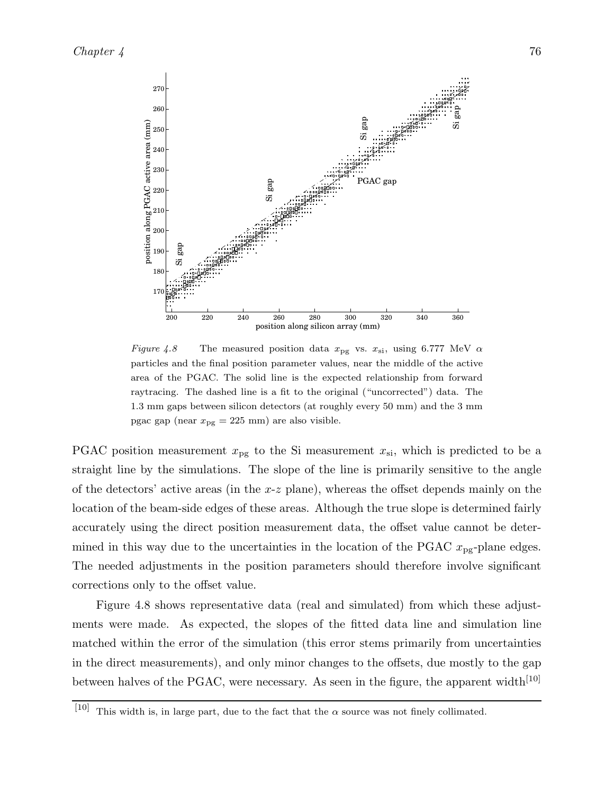

Figure 4.8 The measured position data  $x_{pg}$  vs.  $x_{si}$ , using 6.777 MeV  $\alpha$ particles and the final position parameter values, near the middle of the active area of the PGAC. The solid line is the expected relationship from forward raytracing. The dashed line is a fit to the original ("uncorrected") data. The 1.3 mm gaps between silicon detectors (at roughly every 50 mm) and the 3 mm pgac gap (near  $x_{pg} = 225$  mm) are also visible.

PGAC position measurement  $x_{pg}$  to the Si measurement  $x_{si}$ , which is predicted to be a straight line by the simulations. The slope of the line is primarily sensitive to the angle of the detectors' active areas (in the  $x-z$  plane), whereas the offset depends mainly on the location of the beam-side edges of these areas. Although the true slope is determined fairly accurately using the direct position measurement data, the offset value cannot be determined in this way due to the uncertainties in the location of the PGAC  $x_{pg}$ -plane edges. The needed adjustments in the position parameters should therefore involve significant corrections only to the offset value.

Figure 4.8 shows representative data (real and simulated) from which these adjustments were made. As expected, the slopes of the fitted data line and simulation line matched within the error of the simulation (this error stems primarily from uncertainties in the direct measurements), and only minor changes to the offsets, due mostly to the gap between halves of the PGAC, were necessary. As seen in the figure, the apparent width<sup>[10]</sup>

<sup>[10]</sup> This width is, in large part, due to the fact that the  $\alpha$  source was not finely collimated.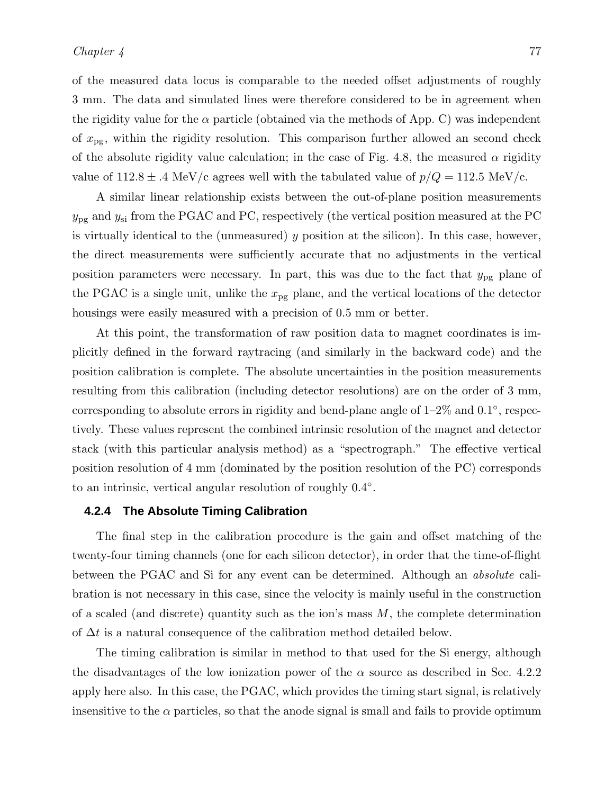of the measured data locus is comparable to the needed offset adjustments of roughly 3 mm. The data and simulated lines were therefore considered to be in agreement when the rigidity value for the  $\alpha$  particle (obtained via the methods of App. C) was independent of  $x_{pg}$ , within the rigidity resolution. This comparison further allowed an second check of the absolute rigidity value calculation; in the case of Fig. 4.8, the measured  $\alpha$  rigidity

A similar linear relationship exists between the out-of-plane position measurements  $y_{\mathrm{pg}}$  and  $y_{\mathrm{si}}$  from the PGAC and PC, respectively (the vertical position measured at the PC is virtually identical to the (unmeasured)  $y$  position at the silicon). In this case, however, the direct measurements were sufficiently accurate that no adjustments in the vertical position parameters were necessary. In part, this was due to the fact that  $y_{pg}$  plane of the PGAC is a single unit, unlike the  $x_{pg}$  plane, and the vertical locations of the detector housings were easily measured with a precision of 0.5 mm or better.

value of  $112.8 \pm .4$  MeV/c agrees well with the tabulated value of  $p/Q = 112.5$  MeV/c.

At this point, the transformation of raw position data to magnet coordinates is implicitly defined in the forward raytracing (and similarly in the backward code) and the position calibration is complete. The absolute uncertainties in the position measurements resulting from this calibration (including detector resolutions) are on the order of 3 mm, corresponding to absolute errors in rigidity and bend-plane angle of  $1-2\%$  and  $0.1^{\circ}$ , respectively. These values represent the combined intrinsic resolution of the magnet and detector stack (with this particular analysis method) as a "spectrograph." The effective vertical position resolution of 4 mm (dominated by the position resolution of the PC) corresponds to an intrinsic, vertical angular resolution of roughly  $0.4^{\circ}$ .

#### **4.2.4 The Absolute Timing Calibration**

The final step in the calibration procedure is the gain and offset matching of the twenty-four timing channels (one for each silicon detector), in order that the time-of-flight between the PGAC and Si for any event can be determined. Although an *absolute* calibration is not necessary in this case, since the velocity is mainly useful in the construction of a scaled (and discrete) quantity such as the ion's mass  $M$ , the complete determination of  $\Delta t$  is a natural consequence of the calibration method detailed below.

The timing calibration is similar in method to that used for the Si energy, although the disadvantages of the low ionization power of the  $\alpha$  source as described in Sec. 4.2.2 apply here also. In this case, the PGAC, which provides the timing start signal, is relatively insensitive to the  $\alpha$  particles, so that the anode signal is small and fails to provide optimum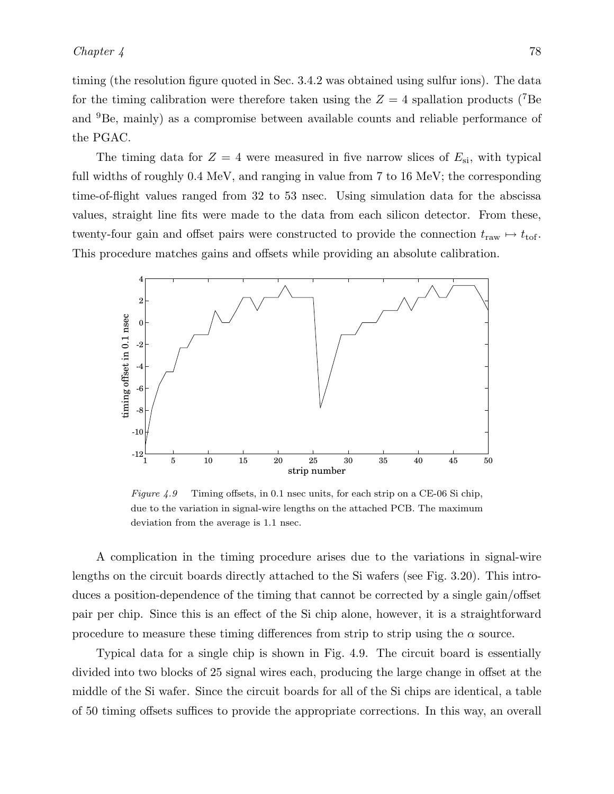timing (the resolution figure quoted in Sec. 3.4.2 was obtained using sulfur ions). The data for the timing calibration were therefore taken using the  $Z = 4$  spallation products (<sup>7</sup>Be) and <sup>9</sup>Be, mainly) as a compromise between available counts and reliable performance of the PGAC.

The timing data for  $Z = 4$  were measured in five narrow slices of  $E_{\rm si}$ , with typical full widths of roughly 0.4 MeV, and ranging in value from 7 to 16 MeV; the corresponding time-of-flight values ranged from 32 to 53 nsec. Using simulation data for the abscissa values, straight line fits were made to the data from each silicon detector. From these, twenty-four gain and offset pairs were constructed to provide the connection  $t_{\rm raw} \mapsto t_{\rm tot}$ . This procedure matches gains and offsets while providing an absolute calibration.



Figure 4.9 Timing offsets, in 0.1 nsec units, for each strip on a CE-06 Si chip, due to the variation in signal-wire lengths on the attached PCB. The maximum deviation from the average is 1.1 nsec.

A complication in the timing procedure arises due to the variations in signal-wire lengths on the circuit boards directly attached to the Si wafers (see Fig. 3.20). This introduces a position-dependence of the timing that cannot be corrected by a single gain/offset pair per chip. Since this is an effect of the Si chip alone, however, it is a straightforward procedure to measure these timing differences from strip to strip using the  $\alpha$  source.

Typical data for a single chip is shown in Fig. 4.9. The circuit board is essentially divided into two blocks of 25 signal wires each, producing the large change in offset at the middle of the Si wafer. Since the circuit boards for all of the Si chips are identical, a table of 50 timing offsets suffices to provide the appropriate corrections. In this way, an overall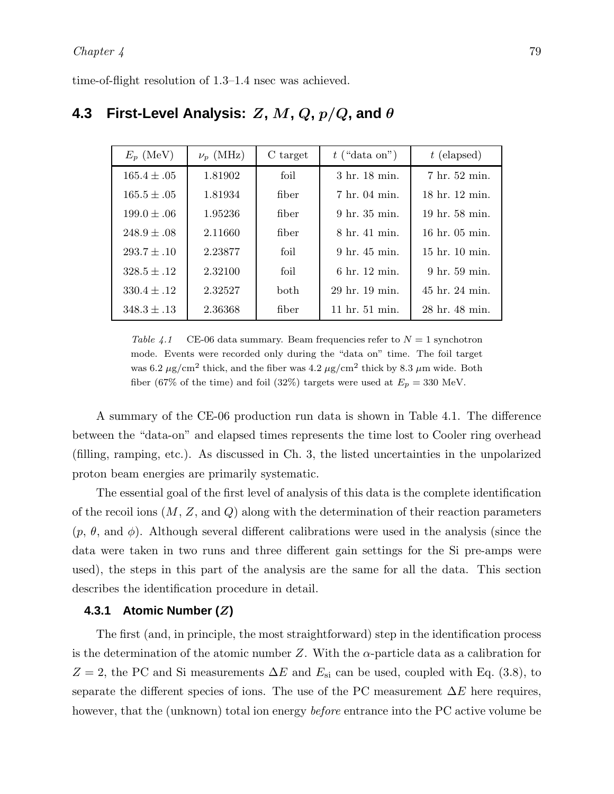time-of-flight resolution of 1.3–1.4 nsec was achieved.

| $E_p$ (MeV)     | $\nu_p$ (MHz) | C target    | $t$ ("data on") | $t$ (elapsed)      |  |
|-----------------|---------------|-------------|-----------------|--------------------|--|
| $165.4 \pm .05$ | 1.81902       | foil        | 3 hr. 18 min.   | 7 hr. 52 min.      |  |
| $165.5 \pm .05$ | 1.81934       | fiber       | 7 hr. 04 min.   | 18 hr. 12 min.     |  |
| $199.0 \pm .06$ | 1.95236       | fiber       | 9 hr. 35 min.   | 19 hr. 58 min.     |  |
| $248.9 \pm .08$ | 2.11660       | fiber       | 8 hr. 41 min.   | $16$ hr. $05$ min. |  |
| $293.7 \pm .10$ | 2.23877       | foil        | 9 hr. 45 min.   | 15 hr. 10 min.     |  |
| $328.5 \pm .12$ | 2.32100       | foil        | 6 hr. 12 min.   | 9 hr. 59 min.      |  |
| $330.4 \pm .12$ | 2.32527       | <b>both</b> | 29 hr. 19 min.  | 45 hr. 24 min.     |  |
| $348.3 \pm .13$ | 2.36368       | fiber       | 11 hr. 51 min.  | 28 hr. 48 min.     |  |

# **4.3 First-Level Analysis:** Z**,** M**,** Q**,** p/Q**, and** θ

Table 4.1 CE-06 data summary. Beam frequencies refer to  $N = 1$  synchotron mode. Events were recorded only during the "data on" time. The foil target was 6.2  $\mu$ g/cm<sup>2</sup> thick, and the fiber was 4.2  $\mu$ g/cm<sup>2</sup> thick by 8.3  $\mu$ m wide. Both fiber (67% of the time) and foil (32%) targets were used at  $E_p = 330$  MeV.

A summary of the CE-06 production run data is shown in Table 4.1. The difference between the "data-on" and elapsed times represents the time lost to Cooler ring overhead (filling, ramping, etc.). As discussed in Ch. 3, the listed uncertainties in the unpolarized proton beam energies are primarily systematic.

The essential goal of the first level of analysis of this data is the complete identification of the recoil ions  $(M, Z, \text{and } Q)$  along with the determination of their reaction parameters  $(p, \theta, \text{ and } \phi)$ . Although several different calibrations were used in the analysis (since the data were taken in two runs and three different gain settings for the Si pre-amps were used), the steps in this part of the analysis are the same for all the data. This section describes the identification procedure in detail.

#### **4.3.1 Atomic Number (**Z**)**

The first (and, in principle, the most straightforward) step in the identification process is the determination of the atomic number Z. With the  $\alpha$ -particle data as a calibration for  $Z = 2$ , the PC and Si measurements  $\Delta E$  and  $E_{\rm si}$  can be used, coupled with Eq. (3.8), to separate the different species of ions. The use of the PC measurement  $\Delta E$  here requires, however, that the (unknown) total ion energy *before* entrance into the PC active volume be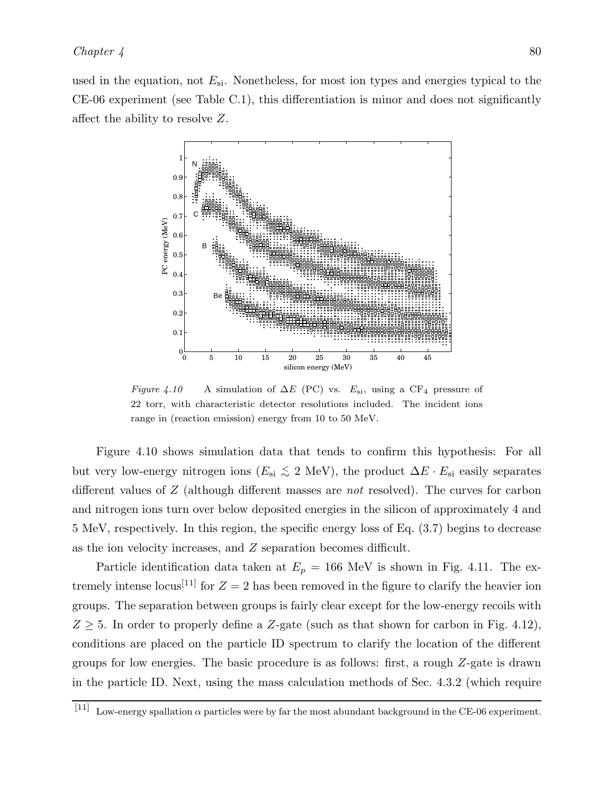used in the equation, not  $E_{\rm si}$ . Nonetheless, for most ion types and energies typical to the CE-06 experiment (see Table C.1), this differentiation is minor and does not significantly affect the ability to resolve Z.



Figure 4.10 A simulation of  $\Delta E$  (PC) vs.  $E_{\rm si}$ , using a CF<sub>4</sub> pressure of 22 torr, with characteristic detector resolutions included. The incident ions range in (reaction emission) energy from 10 to 50 MeV.

Figure 4.10 shows simulation data that tends to confirm this hypothesis: For all but very low-energy nitrogen ions ( $E_{si} \lesssim 2 \text{ MeV}$ ), the product  $\Delta E \cdot E_{si}$  easily separates different values of Z (although different masses are *not* resolved). The curves for carbon and nitrogen ions turn over below deposited energies in the silicon of approximately 4 and 5 MeV, respectively. In this region, the specific energy loss of Eq. (3.7) begins to decrease as the ion velocity increases, and Z separation becomes difficult.

Particle identification data taken at  $E_p = 166$  MeV is shown in Fig. 4.11. The extremely intense locus<sup>[11]</sup> for  $Z = 2$  has been removed in the figure to clarify the heavier ion groups. The separation between groups is fairly clear except for the low-energy recoils with  $Z \geq 5$ . In order to properly define a Z-gate (such as that shown for carbon in Fig. 4.12), conditions are placed on the particle ID spectrum to clarify the location of the different groups for low energies. The basic procedure is as follows: first, a rough Z-gate is drawn in the particle ID. Next, using the mass calculation methods of Sec. 4.3.2 (which require

<sup>[11]</sup> Low-energy spallation  $\alpha$  particles were by far the most abundant background in the CE-06 experiment.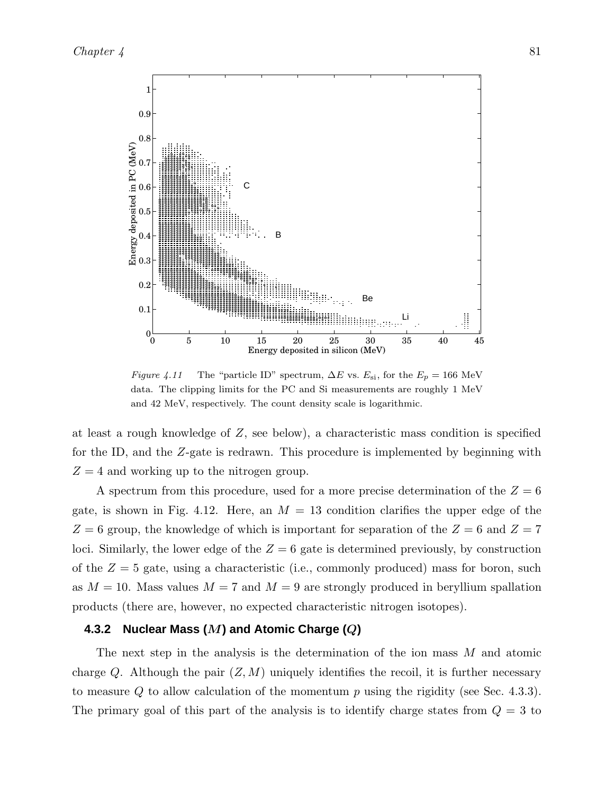

Figure 4.11 The "particle ID" spectrum,  $\Delta E$  vs.  $E_{\rm si}$ , for the  $E_p = 166$  MeV data. The clipping limits for the PC and Si measurements are roughly 1 MeV and 42 MeV, respectively. The count density scale is logarithmic.

at least a rough knowledge of  $Z$ , see below), a characteristic mass condition is specified for the ID, and the Z-gate is redrawn. This procedure is implemented by beginning with  $Z = 4$  and working up to the nitrogen group.

A spectrum from this procedure, used for a more precise determination of the  $Z = 6$ gate, is shown in Fig. 4.12. Here, an  $M = 13$  condition clarifies the upper edge of the  $Z = 6$  group, the knowledge of which is important for separation of the  $Z = 6$  and  $Z = 7$ loci. Similarly, the lower edge of the  $Z = 6$  gate is determined previously, by construction of the  $Z = 5$  gate, using a characteristic (i.e., commonly produced) mass for boron, such as  $M = 10$ . Mass values  $M = 7$  and  $M = 9$  are strongly produced in beryllium spallation products (there are, however, no expected characteristic nitrogen isotopes).

#### **4.3.2 Nuclear Mass (**M**) and Atomic Charge (**Q**)**

The next step in the analysis is the determination of the ion mass M and atomic charge Q. Although the pair  $(Z, M)$  uniquely identifies the recoil, it is further necessary to measure  $Q$  to allow calculation of the momentum  $p$  using the rigidity (see Sec. 4.3.3). The primary goal of this part of the analysis is to identify charge states from  $Q = 3$  to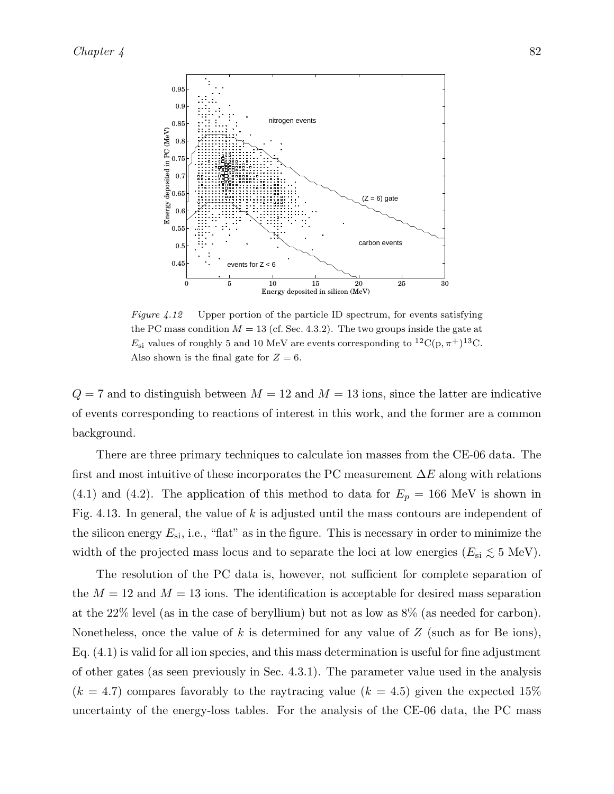

Figure 4.12 Upper portion of the particle ID spectrum, for events satisfying the PC mass condition  $M = 13$  (cf. Sec. 4.3.2). The two groups inside the gate at  $E_{\rm si}$  values of roughly 5 and 10 MeV are events corresponding to <sup>12</sup>C(p,  $\pi$ <sup>+</sup>)<sup>13</sup>C. Also shown is the final gate for  $Z = 6$ .

 $Q = 7$  and to distinguish between  $M = 12$  and  $M = 13$  ions, since the latter are indicative of events corresponding to reactions of interest in this work, and the former are a common background.

There are three primary techniques to calculate ion masses from the CE-06 data. The first and most intuitive of these incorporates the PC measurement  $\Delta E$  along with relations (4.1) and (4.2). The application of this method to data for  $E_p = 166$  MeV is shown in Fig. 4.13. In general, the value of k is adjusted until the mass contours are independent of the silicon energy  $E_{\rm si}$ , i.e., "flat" as in the figure. This is necessary in order to minimize the width of the projected mass locus and to separate the loci at low energies ( $E_{si} \lesssim 5 \text{ MeV}$ ).

The resolution of the PC data is, however, not sufficient for complete separation of the  $M = 12$  and  $M = 13$  ions. The identification is acceptable for desired mass separation at the 22% level (as in the case of beryllium) but not as low as 8% (as needed for carbon). Nonetheless, once the value of k is determined for any value of  $Z$  (such as for Be ions), Eq. (4.1) is valid for all ion species, and this mass determination is useful for fine adjustment of other gates (as seen previously in Sec. 4.3.1). The parameter value used in the analysis  $(k = 4.7)$  compares favorably to the raytracing value  $(k = 4.5)$  given the expected 15% uncertainty of the energy-loss tables. For the analysis of the CE-06 data, the PC mass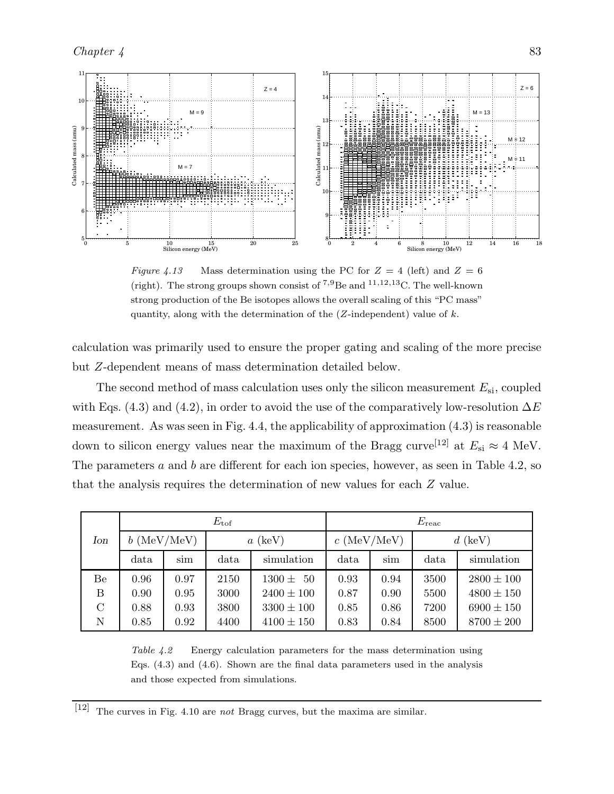

Figure 4.13 Mass determination using the PC for  $Z = 4$  (left) and  $Z = 6$ (right). The strong groups shown consist of  $^{7,9}$ Be and  $^{11,12,13}$ C. The well-known strong production of the Be isotopes allows the overall scaling of this "PC mass" quantity, along with the determination of the  $(Z$ -independent) value of  $k$ .

calculation was primarily used to ensure the proper gating and scaling of the more precise but Z-dependent means of mass determination detailed below.

The second method of mass calculation uses only the silicon measurement  $E_{si}$ , coupled with Eqs. (4.3) and (4.2), in order to avoid the use of the comparatively low-resolution  $\Delta E$ measurement. As was seen in Fig. 4.4, the applicability of approximation  $(4.3)$  is reasonable down to silicon energy values near the maximum of the Bragg curve<sup>[12]</sup> at  $E_{\rm si} \approx 4$  MeV. The parameters a and b are different for each ion species, however, as seen in Table 4.2, so that the analysis requires the determination of new values for each Z value.

|         | $E_{\rm tof}$               |                           |           |                            | $E_{\rm reac}$          |      |            |                |
|---------|-----------------------------|---------------------------|-----------|----------------------------|-------------------------|------|------------|----------------|
| Ion     | $b~(\text{MeV}/\text{MeV})$ |                           | $a$ (keV) |                            | $c \, (\text{MeV/MeV})$ |      | $d$ (keV)  |                |
|         | data                        | simulation<br>data<br>sim |           | data                       | sim                     | data | simulation |                |
| Be      | 0.96                        | 0.97                      | 2150      | $1300 \pm$<br>$50^{\circ}$ | 0.93                    | 0.94 | 3500       | $2800 \pm 100$ |
| Β       | 0.90                        | 0.95                      | 3000      | $2400 \pm 100$             | 0.87                    | 0.90 | 5500       | $4800 \pm 150$ |
| $\rm C$ | 0.88                        | 0.93                      | 3800      | $3300 \pm 100$             | 0.85                    | 0.86 | 7200       | $6900 \pm 150$ |
| N       | 0.85                        | 0.92                      | 4400      | $4100 \pm 150$             | 0.83                    | 0.84 | 8500       | $8700 \pm 200$ |

Table 4.2 Energy calculation parameters for the mass determination using Eqs. (4.3) and (4.6). Shown are the final data parameters used in the analysis and those expected from simulations.

 $[12]$  The curves in Fig. 4.10 are not Bragg curves, but the maxima are similar.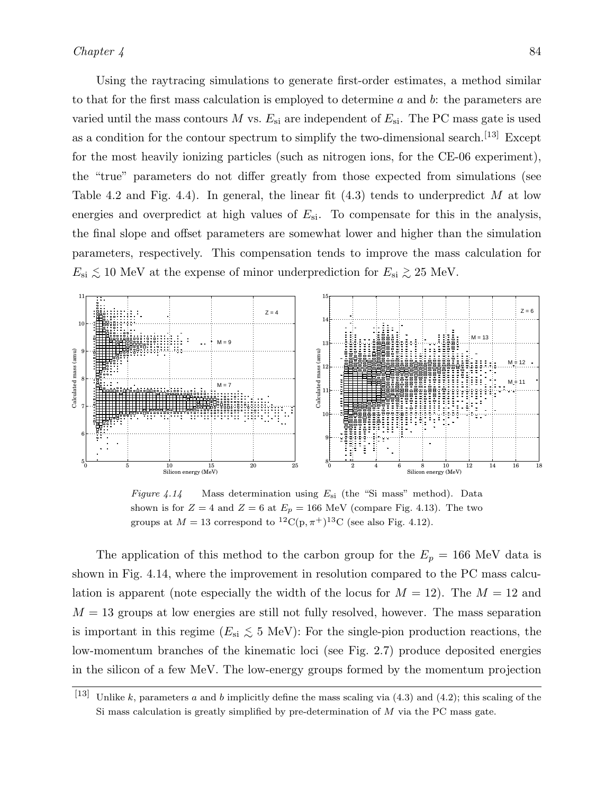Using the raytracing simulations to generate first-order estimates, a method similar to that for the first mass calculation is employed to determine  $a$  and  $b$ : the parameters are varied until the mass contours M vs.  $E_{si}$  are independent of  $E_{si}$ . The PC mass gate is used as a condition for the contour spectrum to simplify the two-dimensional search.<sup>[13]</sup> Except for the most heavily ionizing particles (such as nitrogen ions, for the CE-06 experiment), the "true" parameters do not differ greatly from those expected from simulations (see Table 4.2 and Fig. 4.4). In general, the linear fit  $(4.3)$  tends to underpredict M at low energies and overpredict at high values of  $E_{si}$ . To compensate for this in the analysis, the final slope and offset parameters are somewhat lower and higher than the simulation parameters, respectively. This compensation tends to improve the mass calculation for  $E_{\rm si} \lesssim 10$  MeV at the expense of minor underprediction for  $E_{\rm si} \gtrsim 25$  MeV.



Figure 4.14 Mass determination using  $E_{\rm si}$  (the "Si mass" method). Data shown is for  $Z = 4$  and  $Z = 6$  at  $E_p = 166$  MeV (compare Fig. 4.13). The two groups at  $M = 13$  correspond to  ${}^{12}C(p, \pi^+){}^{13}C$  (see also Fig. 4.12).

The application of this method to the carbon group for the  $E_p = 166$  MeV data is shown in Fig. 4.14, where the improvement in resolution compared to the PC mass calculation is apparent (note especially the width of the locus for  $M = 12$ ). The  $M = 12$  and  $M = 13$  groups at low energies are still not fully resolved, however. The mass separation is important in this regime ( $E_{si} \lesssim 5 \text{ MeV}$ ): For the single-pion production reactions, the low-momentum branches of the kinematic loci (see Fig. 2.7) produce deposited energies in the silicon of a few MeV. The low-energy groups formed by the momentum projection

<sup>[13]</sup> Unlike k, parameters a and b implicitly define the mass scaling via  $(4.3)$  and  $(4.2)$ ; this scaling of the Si mass calculation is greatly simplified by pre-determination of  $M$  via the PC mass gate.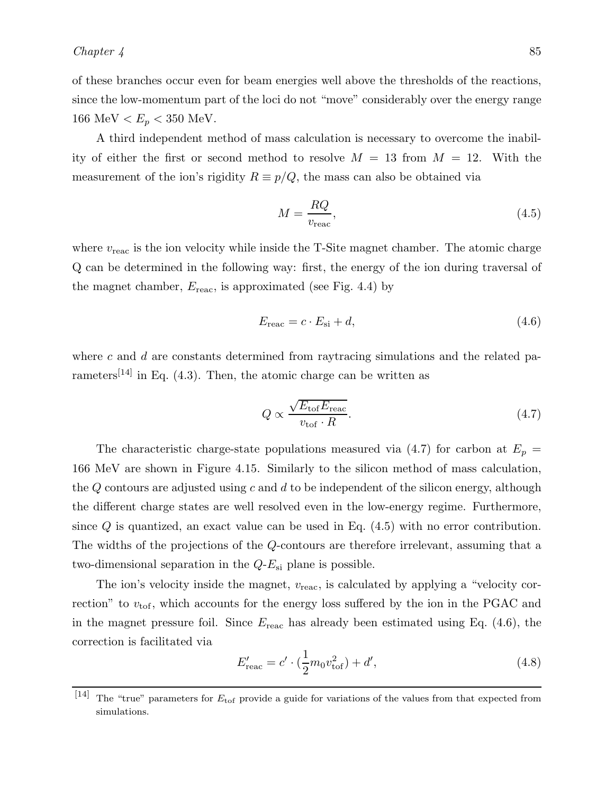of these branches occur even for beam energies well above the thresholds of the reactions, since the low-momentum part of the loci do not "move" considerably over the energy range 166 MeV  $\lt E_p \lt 350$  MeV.

A third independent method of mass calculation is necessary to overcome the inability of either the first or second method to resolve  $M = 13$  from  $M = 12$ . With the measurement of the ion's rigidity  $R \equiv p/Q$ , the mass can also be obtained via

$$
M = \frac{RQ}{v_{\text{reac}}},\tag{4.5}
$$

where  $v_{\text{reac}}$  is the ion velocity while inside the T-Site magnet chamber. The atomic charge Q can be determined in the following way: first, the energy of the ion during traversal of the magnet chamber,  $E_{\text{reac}}$ , is approximated (see Fig. 4.4) by

$$
E_{\text{reac}} = c \cdot E_{\text{si}} + d,\tag{4.6}
$$

where  $c$  and  $d$  are constants determined from raytracing simulations and the related parameters<sup>[14]</sup> in Eq.  $(4.3)$ . Then, the atomic charge can be written as

$$
Q \propto \frac{\sqrt{E_{\text{tof}} E_{\text{reac}}}}{v_{\text{tof}} \cdot R}.\tag{4.7}
$$

The characteristic charge-state populations measured via (4.7) for carbon at  $E_p =$ 166 MeV are shown in Figure 4.15. Similarly to the silicon method of mass calculation, the  $Q$  contours are adjusted using  $c$  and  $d$  to be independent of the silicon energy, although the different charge states are well resolved even in the low-energy regime. Furthermore, since  $Q$  is quantized, an exact value can be used in Eq.  $(4.5)$  with no error contribution. The widths of the projections of the Q-contours are therefore irrelevant, assuming that a two-dimensional separation in the  $Q-E_{si}$  plane is possible.

The ion's velocity inside the magnet,  $v_{\text{reac}}$ , is calculated by applying a "velocity correction" to  $v_{\text{tof}}$ , which accounts for the energy loss suffered by the ion in the PGAC and in the magnet pressure foil. Since  $E_{\text{reac}}$  has already been estimated using Eq. (4.6), the correction is facilitated via

$$
E'_{\text{reac}} = c' \cdot (\frac{1}{2} m_0 v_{\text{tof}}^2) + d',\tag{4.8}
$$

<sup>[14]</sup> The "true" parameters for  $E_{\text{tof}}$  provide a guide for variations of the values from that expected from simulations.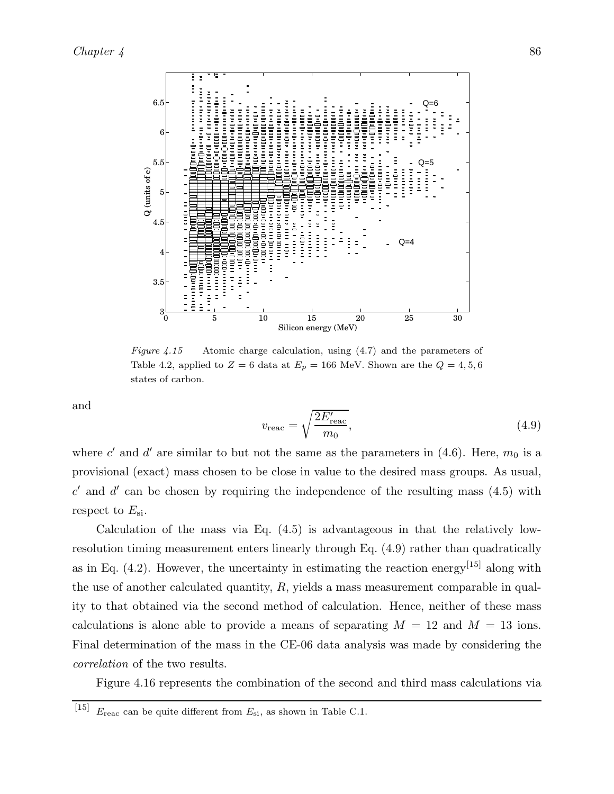

Figure 4.15 Atomic charge calculation, using  $(4.7)$  and the parameters of Table 4.2, applied to  $Z = 6$  data at  $E_p = 166$  MeV. Shown are the  $Q = 4, 5, 6$ states of carbon.

and

$$
v_{\text{reac}} = \sqrt{\frac{2E'_{\text{reac}}}{m_0}},\tag{4.9}
$$

where c' and d' are similar to but not the same as the parameters in  $(4.6)$ . Here,  $m_0$  is a provisional (exact) mass chosen to be close in value to the desired mass groups. As usual,  $c'$  and  $d'$  can be chosen by requiring the independence of the resulting mass  $(4.5)$  with respect to  $E_{\rm si}$ .

Calculation of the mass via Eq.  $(4.5)$  is advantageous in that the relatively lowresolution timing measurement enters linearly through Eq. (4.9) rather than quadratically as in Eq.  $(4.2)$ . However, the uncertainty in estimating the reaction energy<sup>[15]</sup> along with the use of another calculated quantity,  $R$ , yields a mass measurement comparable in quality to that obtained via the second method of calculation. Hence, neither of these mass calculations is alone able to provide a means of separating  $M = 12$  and  $M = 13$  ions. Final determination of the mass in the CE-06 data analysis was made by considering the *correlation* of the two results.

Figure 4.16 represents the combination of the second and third mass calculations via

<sup>&</sup>lt;sup>[15]</sup>  $E_{\text{reac}}$  can be quite different from  $E_{\text{si}}$ , as shown in Table C.1.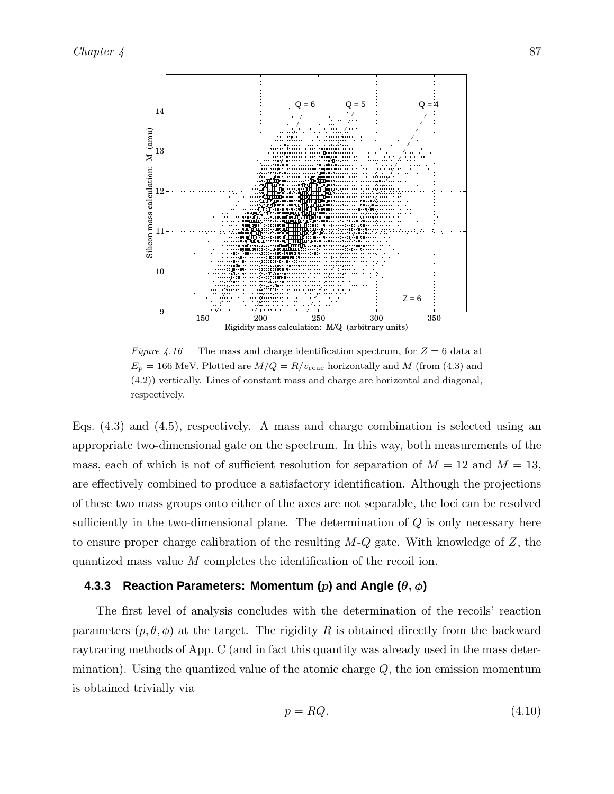

Figure 4.16 The mass and charge identification spectrum, for  $Z = 6$  data at  $E_p = 166$  MeV. Plotted are  $M/Q = R/v_{\text{reac}}$  horizontally and M (from (4.3) and (4.2)) vertically. Lines of constant mass and charge are horizontal and diagonal, respectively.

Eqs. (4.3) and (4.5), respectively. A mass and charge combination is selected using an appropriate two-dimensional gate on the spectrum. In this way, both measurements of the mass, each of which is not of sufficient resolution for separation of  $M = 12$  and  $M = 13$ , are effectively combined to produce a satisfactory identification. Although the projections of these two mass groups onto either of the axes are not separable, the loci can be resolved sufficiently in the two-dimensional plane. The determination of  $Q$  is only necessary here to ensure proper charge calibration of the resulting  $M-Q$  gate. With knowledge of  $Z$ , the quantized mass value M completes the identification of the recoil ion.

#### **4.3.3 Reaction Parameters: Momentum (**p**) and Angle (**θ, φ**)**

The first level of analysis concludes with the determination of the recoils' reaction parameters  $(p, \theta, \phi)$  at the target. The rigidity R is obtained directly from the backward raytracing methods of App. C (and in fact this quantity was already used in the mass determination). Using the quantized value of the atomic charge  $Q$ , the ion emission momentum is obtained trivially via

$$
p = RQ.\tag{4.10}
$$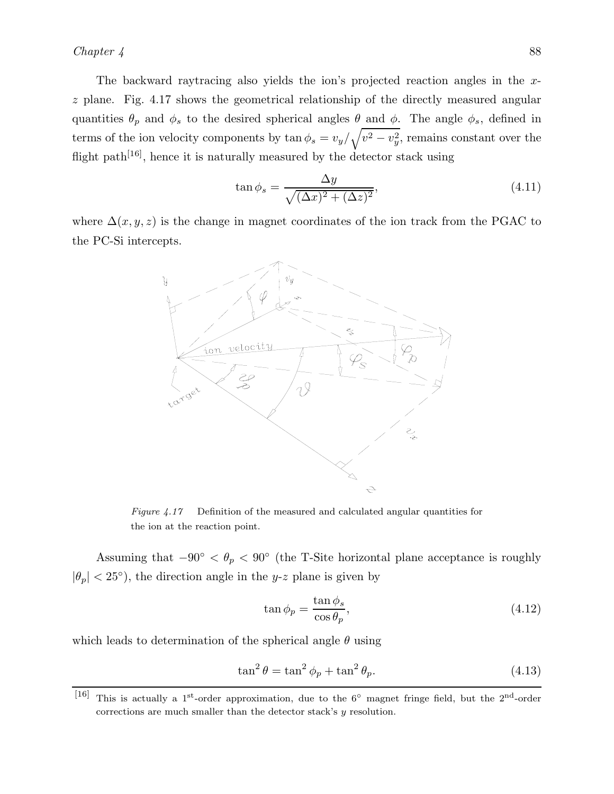#### *Chapter 4* 88

The backward raytracing also yields the ion's projected reaction angles in the xz plane. Fig. 4.17 shows the geometrical relationship of the directly measured angular quantities  $\theta_p$  and  $\phi_s$  to the desired spherical angles  $\theta$  and  $\phi$ . The angle  $\phi_s$ , defined in terms of the ion velocity components by  $\tan \phi_s = v_y / \sqrt{v^2 - v_y^2}$ , remains constant over the flight path<sup>[16]</sup>, hence it is naturally measured by the detector stack using

$$
\tan \phi_s = \frac{\Delta y}{\sqrt{(\Delta x)^2 + (\Delta z)^2}},\tag{4.11}
$$

where  $\Delta(x, y, z)$  is the change in magnet coordinates of the ion track from the PGAC to the PC-Si intercepts.



Figure 4.17 Definition of the measured and calculated angular quantities for the ion at the reaction point.

Assuming that  $-90° < \theta_p < 90°$  (the T-Site horizontal plane acceptance is roughly  $|\theta_p| < 25^{\circ}$ ), the direction angle in the y-z plane is given by

$$
\tan \phi_p = \frac{\tan \phi_s}{\cos \theta_p},\tag{4.12}
$$

which leads to determination of the spherical angle  $\theta$  using

$$
\tan^2 \theta = \tan^2 \phi_p + \tan^2 \theta_p. \tag{4.13}
$$

<sup>[16]</sup> This is actually a 1<sup>st</sup>-order approximation, due to the 6<sup>°</sup> magnet fringe field, but the 2<sup>nd</sup>-order corrections are much smaller than the detector stack's  $y$  resolution.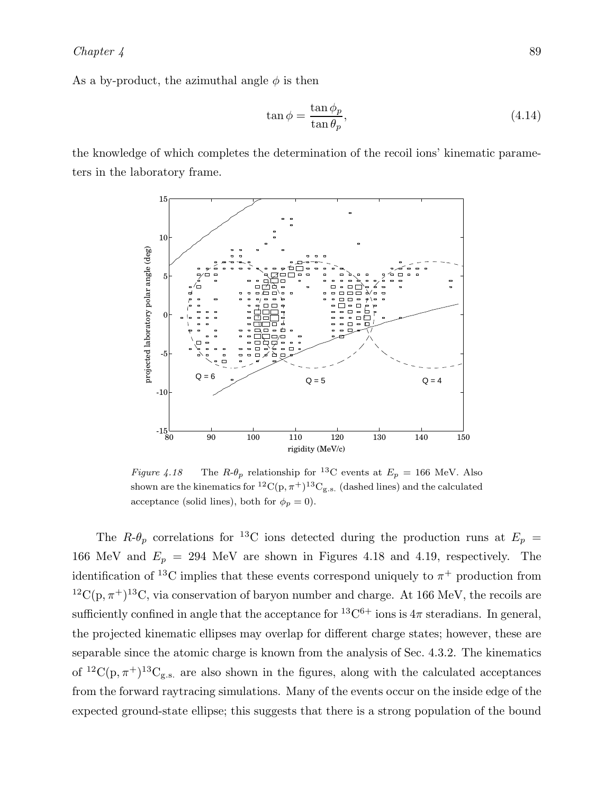As a by-product, the azimuthal angle  $\phi$  is then

$$
\tan \phi = \frac{\tan \phi_p}{\tan \theta_p},\tag{4.14}
$$

the knowledge of which completes the determination of the recoil ions' kinematic parameters in the laboratory frame.



Figure 4.18 The  $R-\theta_p$  relationship for <sup>13</sup>C events at  $E_p = 166$  MeV. Also shown are the kinematics for  ${}^{12}C(p, \pi^+){}^{13}C_{g.s.}$  (dashed lines) and the calculated acceptance (solid lines), both for  $\phi_p = 0$ ).

The  $R-\theta_p$  correlations for <sup>13</sup>C ions detected during the production runs at  $E_p$  = 166 MeV and  $E_p = 294$  MeV are shown in Figures 4.18 and 4.19, respectively. The identification of <sup>13</sup>C implies that these events correspond uniquely to  $\pi^+$  production from  ${}^{12}C(p, \pi^+){}^{13}C$ , via conservation of baryon number and charge. At 166 MeV, the recoils are sufficiently confined in angle that the acceptance for  ${}^{13}C^{6+}$  ions is  $4\pi$  steradians. In general, the projected kinematic ellipses may overlap for different charge states; however, these are separable since the atomic charge is known from the analysis of Sec. 4.3.2. The kinematics of <sup>12</sup>C(p,  $\pi$ <sup>+</sup>)<sup>13</sup>C<sub>g.s.</sub> are also shown in the figures, along with the calculated acceptances from the forward raytracing simulations. Many of the events occur on the inside edge of the expected ground-state ellipse; this suggests that there is a strong population of the bound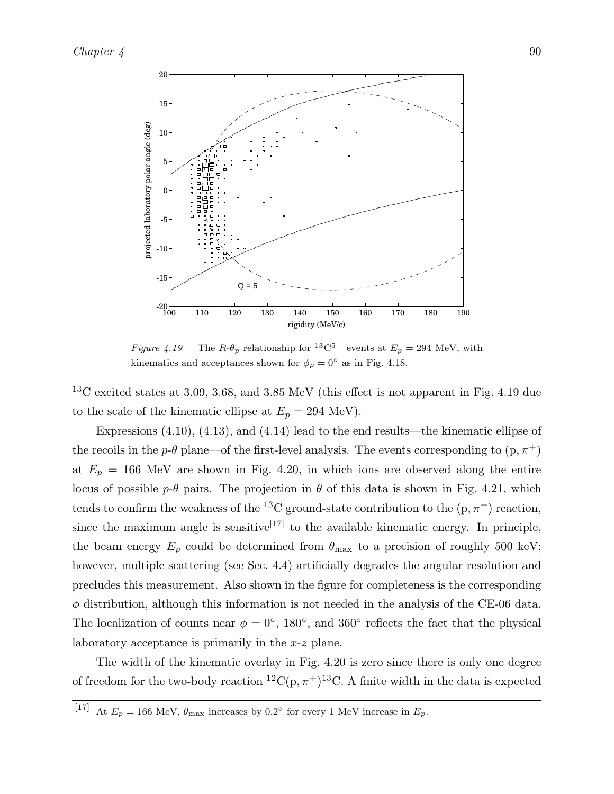

Figure 4.19 The  $R-\theta_p$  relationship for <sup>13</sup>C<sup>5+</sup> events at  $E_p = 294$  MeV, with kinematics and acceptances shown for  $\phi_p = 0^{\circ}$  as in Fig. 4.18.

 $^{13}$ C excited states at 3.09, 3.68, and 3.85 MeV (this effect is not apparent in Fig. 4.19 due to the scale of the kinematic ellipse at  $E_p = 294$  MeV).

Expressions (4.10), (4.13), and (4.14) lead to the end results—the kinematic ellipse of the recoils in the p- $\theta$  plane—of the first-level analysis. The events corresponding to  $(p, \pi^+)$ at  $E_p = 166$  MeV are shown in Fig. 4.20, in which ions are observed along the entire locus of possible  $p-\theta$  pairs. The projection in  $\theta$  of this data is shown in Fig. 4.21, which tends to confirm the weakness of the <sup>13</sup>C ground-state contribution to the  $(p, \pi^+)$  reaction, since the maximum angle is sensitive<sup>[17]</sup> to the available kinematic energy. In principle, the beam energy  $E_p$  could be determined from  $\theta_{\text{max}}$  to a precision of roughly 500 keV; however, multiple scattering (see Sec. 4.4) artificially degrades the angular resolution and precludes this measurement. Also shown in the figure for completeness is the corresponding  $\phi$  distribution, although this information is not needed in the analysis of the CE-06 data. The localization of counts near  $\phi = 0^{\circ}$ , 180<sup>°</sup>, and 360<sup>°</sup> reflects the fact that the physical laboratory acceptance is primarily in the x-z plane.

The width of the kinematic overlay in Fig. 4.20 is zero since there is only one degree of freedom for the two-body reaction  ${}^{12}C(p, \pi^+){}^{13}C$ . A finite width in the data is expected

<sup>&</sup>lt;sup>[17]</sup> At  $E_p = 166$  MeV,  $\theta_{\text{max}}$  increases by 0.2° for every 1 MeV increase in  $E_p$ .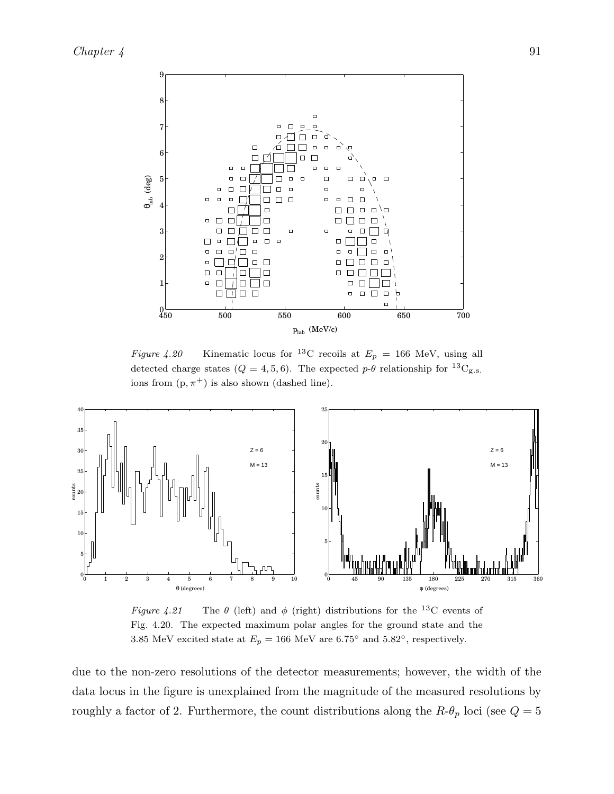

Figure 4.20 Kinematic locus for <sup>13</sup>C recoils at  $E_p = 166$  MeV, using all detected charge states ( $Q = 4, 5, 6$ ). The expected  $p-\theta$  relationship for <sup>13</sup>C<sub>g.s.</sub> ions from  $(p, \pi^+)$  is also shown (dashed line).



Figure 4.21 The  $\theta$  (left) and  $\phi$  (right) distributions for the <sup>13</sup>C events of Fig. 4.20. The expected maximum polar angles for the ground state and the 3.85 MeV excited state at  $E_p = 166$  MeV are 6.75° and 5.82°, respectively.

due to the non-zero resolutions of the detector measurements; however, the width of the data locus in the figure is unexplained from the magnitude of the measured resolutions by roughly a factor of 2. Furthermore, the count distributions along the  $R-\theta_p$  loci (see  $Q=5$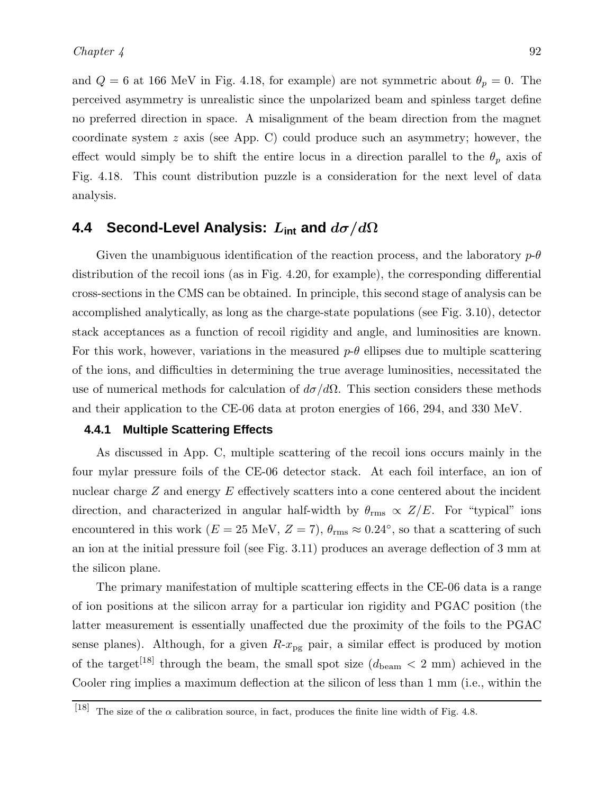and  $Q = 6$  at 166 MeV in Fig. 4.18, for example) are not symmetric about  $\theta_p = 0$ . The perceived asymmetry is unrealistic since the unpolarized beam and spinless target define no preferred direction in space. A misalignment of the beam direction from the magnet coordinate system z axis (see App. C) could produce such an asymmetry; however, the effect would simply be to shift the entire locus in a direction parallel to the  $\theta_p$  axis of Fig. 4.18. This count distribution puzzle is a consideration for the next level of data analysis.

# **4.4 Second-Level Analysis:** L**int and** dσ/dΩ

Given the unambiguous identification of the reaction process, and the laboratory  $p-\theta$ distribution of the recoil ions (as in Fig. 4.20, for example), the corresponding differential cross-sections in the CMS can be obtained. In principle, this second stage of analysis can be accomplished analytically, as long as the charge-state populations (see Fig. 3.10), detector stack acceptances as a function of recoil rigidity and angle, and luminosities are known. For this work, however, variations in the measured  $p-\theta$  ellipses due to multiple scattering of the ions, and difficulties in determining the true average luminosities, necessitated the use of numerical methods for calculation of  $d\sigma/d\Omega$ . This section considers these methods and their application to the CE-06 data at proton energies of 166, 294, and 330 MeV.

#### **4.4.1 Multiple Scattering Effects**

As discussed in App. C, multiple scattering of the recoil ions occurs mainly in the four mylar pressure foils of the CE-06 detector stack. At each foil interface, an ion of nuclear charge Z and energy E effectively scatters into a cone centered about the incident direction, and characterized in angular half-width by  $\theta_{\rm rms} \propto Z/E$ . For "typical" ions encountered in this work ( $E = 25$  MeV,  $Z = 7$ ),  $\theta_{\rm rms} \approx 0.24^{\circ}$ , so that a scattering of such an ion at the initial pressure foil (see Fig. 3.11) produces an average deflection of 3 mm at the silicon plane.

The primary manifestation of multiple scattering effects in the CE-06 data is a range of ion positions at the silicon array for a particular ion rigidity and PGAC position (the latter measurement is essentially unaffected due the proximity of the foils to the PGAC sense planes). Although, for a given  $R-x_{pg}$  pair, a similar effect is produced by motion of the target<sup>[18]</sup> through the beam, the small spot size  $(d_{\text{beam}} < 2 \text{ mm})$  achieved in the Cooler ring implies a maximum deflection at the silicon of less than 1 mm (i.e., within the

<sup>[18]</sup> The size of the  $\alpha$  calibration source, in fact, produces the finite line width of Fig. 4.8.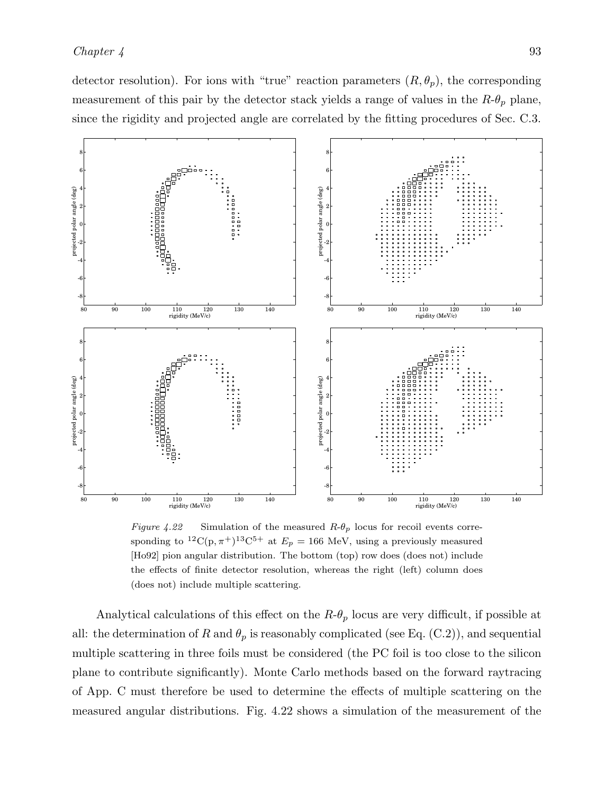detector resolution). For ions with "true" reaction parameters  $(R, \theta_p)$ , the corresponding measurement of this pair by the detector stack yields a range of values in the  $R-\theta_p$  plane, since the rigidity and projected angle are correlated by the fitting procedures of Sec. C.3.



Figure 4.22 Simulation of the measured  $R-\theta_p$  locus for recoil events corresponding to <sup>12</sup>C(p,  $\pi$ <sup>+</sup>)<sup>13</sup>C<sup>5+</sup> at  $E_p = 166$  MeV, using a previously measured [Ho92] pion angular distribution. The bottom (top) row does (does not) include the effects of finite detector resolution, whereas the right (left) column does (does not) include multiple scattering.

Analytical calculations of this effect on the  $R-\theta_p$  locus are very difficult, if possible at all: the determination of R and  $\theta_p$  is reasonably complicated (see Eq. (C.2)), and sequential multiple scattering in three foils must be considered (the PC foil is too close to the silicon plane to contribute significantly). Monte Carlo methods based on the forward raytracing of App. C must therefore be used to determine the effects of multiple scattering on the measured angular distributions. Fig. 4.22 shows a simulation of the measurement of the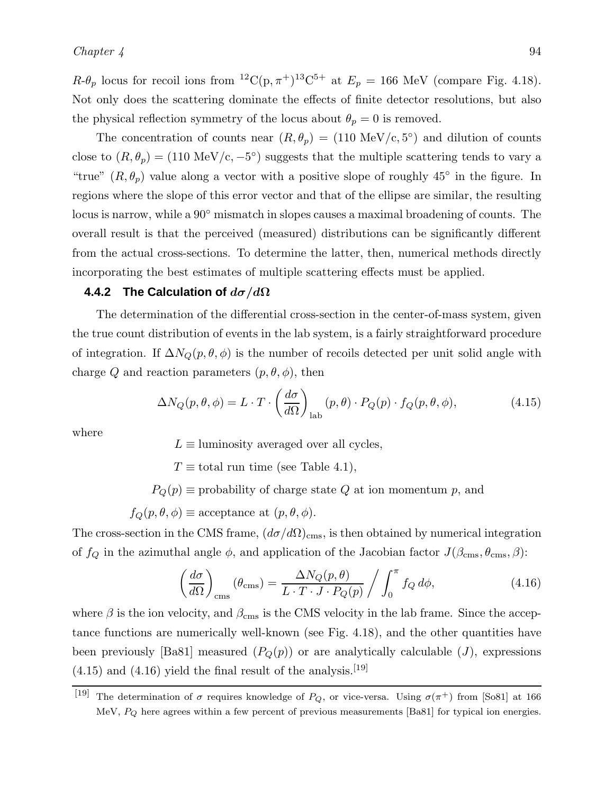$R-\theta_p$  locus for recoil ions from <sup>12</sup>C(p,  $\pi$ <sup>+</sup>)<sup>13</sup>C<sup>5+</sup> at  $E_p = 166$  MeV (compare Fig. 4.18). Not only does the scattering dominate the effects of finite detector resolutions, but also the physical reflection symmetry of the locus about  $\theta_p = 0$  is removed.

The concentration of counts near  $(R, \theta_p) = (110 \text{ MeV/c}, 5^{\circ})$  and dilution of counts close to  $(R, \theta_p) = (110 \text{ MeV/c}, -5^{\circ})$  suggests that the multiple scattering tends to vary a "true"  $(R, \theta_p)$  value along a vector with a positive slope of roughly 45° in the figure. In regions where the slope of this error vector and that of the ellipse are similar, the resulting locus is narrow, while a 90◦ mismatch in slopes causes a maximal broadening of counts. The overall result is that the perceived (measured) distributions can be significantly different from the actual cross-sections. To determine the latter, then, numerical methods directly incorporating the best estimates of multiple scattering effects must be applied.

#### **4.4.2 The Calculation of**  $d\sigma/d\Omega$

The determination of the differential cross-section in the center-of-mass system, given the true count distribution of events in the lab system, is a fairly straightforward procedure of integration. If  $\Delta N_Q(p,\theta,\phi)$  is the number of recoils detected per unit solid angle with charge Q and reaction parameters  $(p, \theta, \phi)$ , then

$$
\Delta N_Q(p,\theta,\phi) = L \cdot T \cdot \left(\frac{d\sigma}{d\Omega}\right)_{\text{lab}} (p,\theta) \cdot P_Q(p) \cdot f_Q(p,\theta,\phi), \tag{4.15}
$$

where

 $L \equiv$  luminosity averaged over all cycles,

 $T \equiv$  total run time (see Table 4.1),

 $P_Q(p) \equiv$  probability of charge state Q at ion momentum p, and

 $f_Q(p, \theta, \phi) \equiv$  acceptance at  $(p, \theta, \phi)$ .

The cross-section in the CMS frame,  $(d\sigma/d\Omega)_{\text{cms}}$ , is then obtained by numerical integration of  $f_Q$  in the azimuthal angle  $\phi$ , and application of the Jacobian factor  $J(\beta_{\rm cms}, \theta_{\rm cms}, \beta)$ :

$$
\left(\frac{d\sigma}{d\Omega}\right)_{\text{cms}}\left(\theta_{\text{cms}}\right) = \frac{\Delta N_Q(p,\theta)}{L \cdot T \cdot J \cdot P_Q(p)} / \int_0^\pi f_Q \, d\phi,\tag{4.16}
$$

where  $\beta$  is the ion velocity, and  $\beta_{\rm cms}$  is the CMS velocity in the lab frame. Since the acceptance functions are numerically well-known (see Fig. 4.18), and the other quantities have been previously [Ba81] measured  $(P_Q(p))$  or are analytically calculable (*J*), expressions  $(4.15)$  and  $(4.16)$  yield the final result of the analysis.<sup>[19]</sup>

<sup>&</sup>lt;sup>[19]</sup> The determination of  $\sigma$  requires knowledge of  $P_Q$ , or vice-versa. Using  $\sigma(\pi^+)$  from [So81] at 166 MeV,  $P_Q$  here agrees within a few percent of previous measurements [Ba81] for typical ion energies.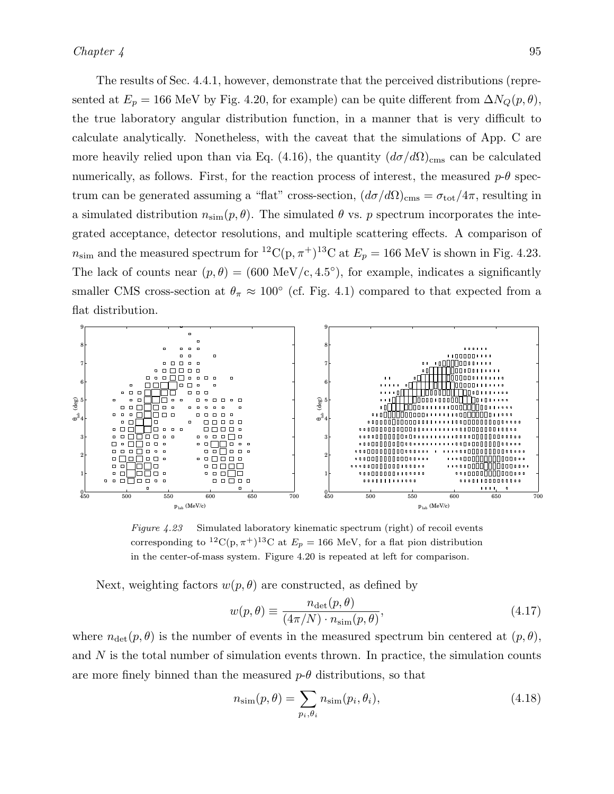The results of Sec. 4.4.1, however, demonstrate that the perceived distributions (represented at  $E_p = 166$  MeV by Fig. 4.20, for example) can be quite different from  $\Delta N_Q(p, \theta)$ , the true laboratory angular distribution function, in a manner that is very difficult to calculate analytically. Nonetheless, with the caveat that the simulations of App. C are more heavily relied upon than via Eq. (4.16), the quantity  $(d\sigma/d\Omega)_{\text{cms}}$  can be calculated numerically, as follows. First, for the reaction process of interest, the measured  $p-\theta$  spectrum can be generated assuming a "flat" cross-section,  $(d\sigma/d\Omega)_{\text{cms}} = \sigma_{\text{tot}}/4\pi$ , resulting in a simulated distribution  $n_{\text{sim}}(p, \theta)$ . The simulated  $\theta$  vs. p spectrum incorporates the integrated acceptance, detector resolutions, and multiple scattering effects. A comparison of  $n_{\text{sim}}$  and the measured spectrum for <sup>12</sup>C(p,  $\pi$ <sup>+</sup>)<sup>13</sup>C at  $E_p = 166$  MeV is shown in Fig. 4.23. The lack of counts near  $(p, \theta) = (600 \text{ MeV/c}, 4.5^{\circ})$ , for example, indicates a significantly smaller CMS cross-section at  $\theta_{\pi} \approx 100^{\circ}$  (cf. Fig. 4.1) compared to that expected from a flat distribution.



Figure 4.23 Simulated laboratory kinematic spectrum (right) of recoil events corresponding to <sup>12</sup>C(p,  $\pi$ <sup>+</sup>)<sup>13</sup>C at  $E_p = 166$  MeV, for a flat pion distribution in the center-of-mass system. Figure 4.20 is repeated at left for comparison.

Next, weighting factors  $w(p, \theta)$  are constructed, as defined by

$$
w(p,\theta) \equiv \frac{n_{\text{det}}(p,\theta)}{(4\pi/N) \cdot n_{\text{sim}}(p,\theta)},
$$
\n(4.17)

where  $n_{\text{det}}(p, \theta)$  is the number of events in the measured spectrum bin centered at  $(p, \theta)$ , and  $N$  is the total number of simulation events thrown. In practice, the simulation counts are more finely binned than the measured  $p-\theta$  distributions, so that

$$
n_{\text{sim}}(p,\theta) = \sum_{p_i,\theta_i} n_{\text{sim}}(p_i,\theta_i),
$$
\n(4.18)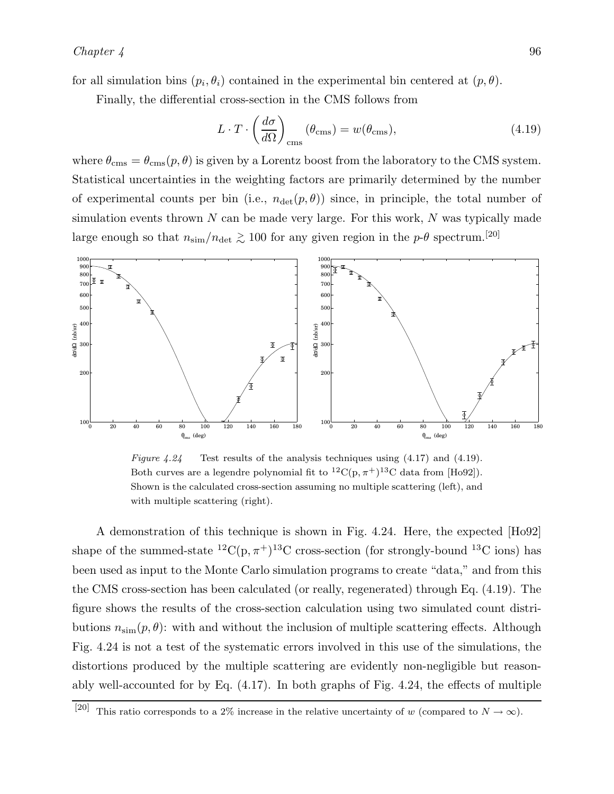for all simulation bins  $(p_i, \theta_i)$  contained in the experimental bin centered at  $(p, \theta)$ .

Finally, the differential cross-section in the CMS follows from

$$
L \cdot T \cdot \left(\frac{d\sigma}{d\Omega}\right)_{\text{cms}} (\theta_{\text{cms}}) = w(\theta_{\text{cms}}), \qquad (4.19)
$$

where  $\theta_{\rm cms} = \theta_{\rm cms}(p,\theta)$  is given by a Lorentz boost from the laboratory to the CMS system. Statistical uncertainties in the weighting factors are primarily determined by the number of experimental counts per bin (i.e.,  $n_{\text{det}}(p, \theta)$ ) since, in principle, the total number of simulation events thrown  $N$  can be made very large. For this work,  $N$  was typically made large enough so that  $n_{\text{sim}}/n_{\text{det}} \gtrsim 100$  for any given region in the p- $\theta$  spectrum.<sup>[20]</sup>



Figure  $4.24$  Test results of the analysis techniques using  $(4.17)$  and  $(4.19)$ . Both curves are a legendre polynomial fit to  ${}^{12}C(p, \pi^+){}^{13}C$  data from [Ho92]). Shown is the calculated cross-section assuming no multiple scattering (left), and with multiple scattering (right).

A demonstration of this technique is shown in Fig. 4.24. Here, the expected [Ho92] shape of the summed-state  ${}^{12}C(p,\pi^+){}^{13}C$  cross-section (for strongly-bound  ${}^{13}C$  ions) has been used as input to the Monte Carlo simulation programs to create "data," and from this the CMS cross-section has been calculated (or really, regenerated) through Eq. (4.19). The figure shows the results of the cross-section calculation using two simulated count distributions  $n_{\text{sim}}(p, \theta)$ : with and without the inclusion of multiple scattering effects. Although Fig. 4.24 is not a test of the systematic errors involved in this use of the simulations, the distortions produced by the multiple scattering are evidently non-negligible but reasonably well-accounted for by Eq.  $(4.17)$ . In both graphs of Fig. 4.24, the effects of multiple

<sup>[20]</sup> This ratio corresponds to a 2% increase in the relative uncertainty of w (compared to  $N \to \infty$ ).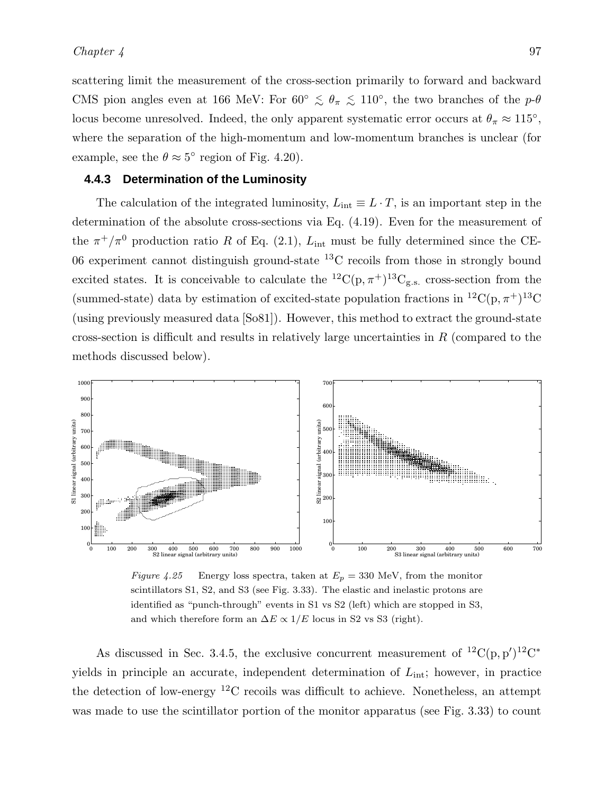scattering limit the measurement of the cross-section primarily to forward and backward CMS pion angles even at 166 MeV: For  $60^{\circ} \le \theta_{\pi} \le 110^{\circ}$ , the two branches of the  $p-\theta$ locus become unresolved. Indeed, the only apparent systematic error occurs at  $\theta_{\pi} \approx 115^{\circ}$ , where the separation of the high-momentum and low-momentum branches is unclear (for example, see the  $\theta \approx 5^{\circ}$  region of Fig. 4.20).

#### **4.4.3 Determination of the Luminosity**

The calculation of the integrated luminosity,  $L_{int} \equiv L \cdot T$ , is an important step in the determination of the absolute cross-sections via Eq. (4.19). Even for the measurement of the  $\pi^+/\pi^0$  production ratio R of Eq. (2.1),  $L_{\text{int}}$  must be fully determined since the CE-06 experiment cannot distinguish ground-state  ${}^{13}$ C recoils from those in strongly bound excited states. It is conceivable to calculate the  ${}^{12}C(p,\pi^+){}^{13}C_{g.s.}$  cross-section from the (summed-state) data by estimation of excited-state population fractions in <sup>12</sup>C(p,  $\pi$ <sup>+</sup>)<sup>13</sup>C (using previously measured data [So81]). However, this method to extract the ground-state cross-section is difficult and results in relatively large uncertainties in  $R$  (compared to the methods discussed below).



Figure 4.25 Energy loss spectra, taken at  $E_p = 330$  MeV, from the monitor scintillators S1, S2, and S3 (see Fig. 3.33). The elastic and inelastic protons are identified as "punch-through" events in S1 vs S2 (left) which are stopped in S3, and which therefore form an  $\Delta E \propto 1/E$  locus in S2 vs S3 (right).

As discussed in Sec. 3.4.5, the exclusive concurrent measurement of  ${}^{12}C(p, p'){}^{12}C^*$ yields in principle an accurate, independent determination of  $L_{\text{int}}$ ; however, in practice the detection of low-energy  ${}^{12}$ C recoils was difficult to achieve. Nonetheless, an attempt was made to use the scintillator portion of the monitor apparatus (see Fig. 3.33) to count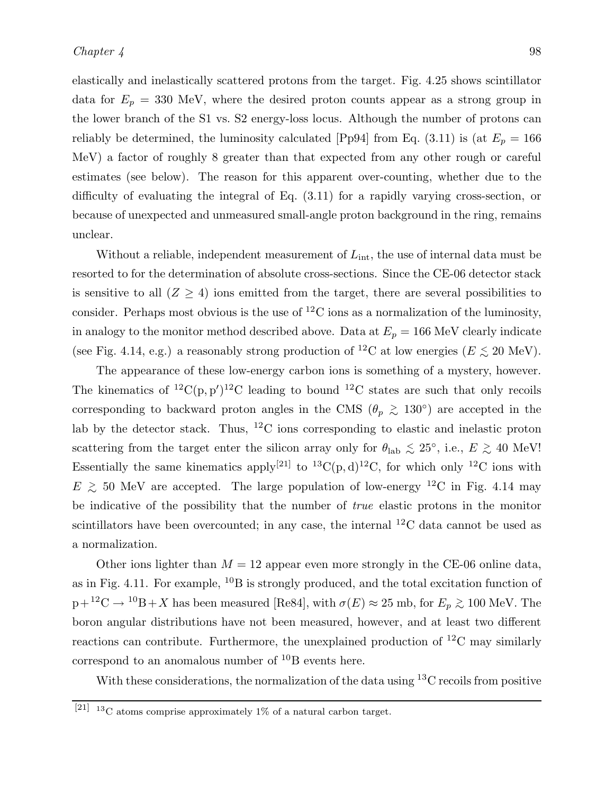elastically and inelastically scattered protons from the target. Fig. 4.25 shows scintillator data for  $E_p = 330$  MeV, where the desired proton counts appear as a strong group in the lower branch of the S1 vs. S2 energy-loss locus. Although the number of protons can reliably be determined, the luminosity calculated [Pp94] from Eq. (3.11) is (at  $E_p = 166$ MeV) a factor of roughly 8 greater than that expected from any other rough or careful estimates (see below). The reason for this apparent over-counting, whether due to the difficulty of evaluating the integral of Eq. (3.11) for a rapidly varying cross-section, or because of unexpected and unmeasured small-angle proton background in the ring, remains unclear.

Without a reliable, independent measurement of  $L_{\text{int}}$ , the use of internal data must be resorted to for the determination of absolute cross-sections. Since the CE-06 detector stack is sensitive to all  $(Z \geq 4)$  ions emitted from the target, there are several possibilities to consider. Perhaps most obvious is the use of  ${}^{12}$ C ions as a normalization of the luminosity, in analogy to the monitor method described above. Data at  $E_p = 166$  MeV clearly indicate (see Fig. 4.14, e.g.) a reasonably strong production of <sup>12</sup>C at low energies ( $E \lesssim 20 \text{ MeV}$ ).

The appearance of these low-energy carbon ions is something of a mystery, however. The kinematics of <sup>12</sup>C(p, p')<sup>12</sup>C leading to bound <sup>12</sup>C states are such that only recoils corresponding to backward proton angles in the CMS ( $\theta_p \gtrsim 130°$ ) are accepted in the lab by the detector stack. Thus,  ${}^{12}$ C ions corresponding to elastic and inelastic proton scattering from the target enter the silicon array only for  $\theta_{\text{lab}} \lesssim 25^{\circ}$ , i.e.,  $E \gtrsim 40 \text{ MeV}!$ Essentially the same kinematics apply<sup>[21]</sup> to <sup>13</sup>C(p, d)<sup>12</sup>C, for which only <sup>12</sup>C ions with  $E \gtrsim 50$  MeV are accepted. The large population of low-energy <sup>12</sup>C in Fig. 4.14 may be indicative of the possibility that the number of *true* elastic protons in the monitor scintillators have been overcounted; in any case, the internal  ${}^{12}C$  data cannot be used as a normalization.

Other ions lighter than  $M = 12$  appear even more strongly in the CE-06 online data, as in Fig. 4.11. For example,  $^{10}B$  is strongly produced, and the total excitation function of  $p+{}^{12}C \rightarrow {}^{10}B+X$  has been measured [Re84], with  $\sigma(E) \approx 25$  mb, for  $E_p \gtrsim 100$  MeV. The boron angular distributions have not been measured, however, and at least two different reactions can contribute. Furthermore, the unexplained production of  ${}^{12}$ C may similarly correspond to an anomalous number of  ${}^{10}B$  events here.

With these considerations, the normalization of the data using  ${}^{13}C$  recoils from positive

 $[21]$  13C atoms comprise approximately 1% of a natural carbon target.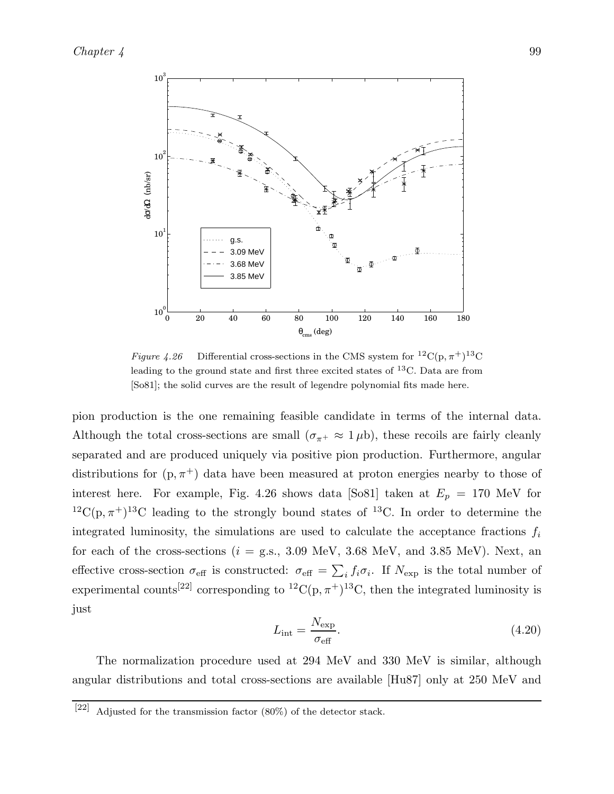

Figure 4.26 Differential cross-sections in the CMS system for  ${}^{12}C(p, \pi^+){}^{13}C$ leading to the ground state and first three excited states of  ${}^{13}$ C. Data are from [So81]; the solid curves are the result of legendre polynomial fits made here.

pion production is the one remaining feasible candidate in terms of the internal data. Although the total cross-sections are small  $(\sigma_{\pi^+} \approx 1 \,\mu b)$ , these recoils are fairly cleanly separated and are produced uniquely via positive pion production. Furthermore, angular distributions for  $(p, \pi^+)$  data have been measured at proton energies nearby to those of interest here. For example, Fig. 4.26 shows data [So81] taken at  $E_p = 170$  MeV for  ${}^{12}C(p, \pi^+){}^{13}C$  leading to the strongly bound states of  ${}^{13}C$ . In order to determine the integrated luminosity, the simulations are used to calculate the acceptance fractions  $f_i$ for each of the cross-sections ( $i =$  g.s., 3.09 MeV, 3.68 MeV, and 3.85 MeV). Next, an effective cross-section  $\sigma_{\text{eff}}$  is constructed:  $\sigma_{\text{eff}} = \sum_i f_i \sigma_i$ . If  $N_{\text{exp}}$  is the total number of experimental counts<sup>[22]</sup> corresponding to <sup>12</sup>C(p,  $\pi$ <sup>+</sup>)<sup>13</sup>C, then the integrated luminosity is just

$$
L_{\rm int} = \frac{N_{\rm exp}}{\sigma_{\rm eff}}.\tag{4.20}
$$

The normalization procedure used at 294 MeV and 330 MeV is similar, although angular distributions and total cross-sections are available [Hu87] only at 250 MeV and

<sup>[22]</sup> Adjusted for the transmission factor  $(80\%)$  of the detector stack.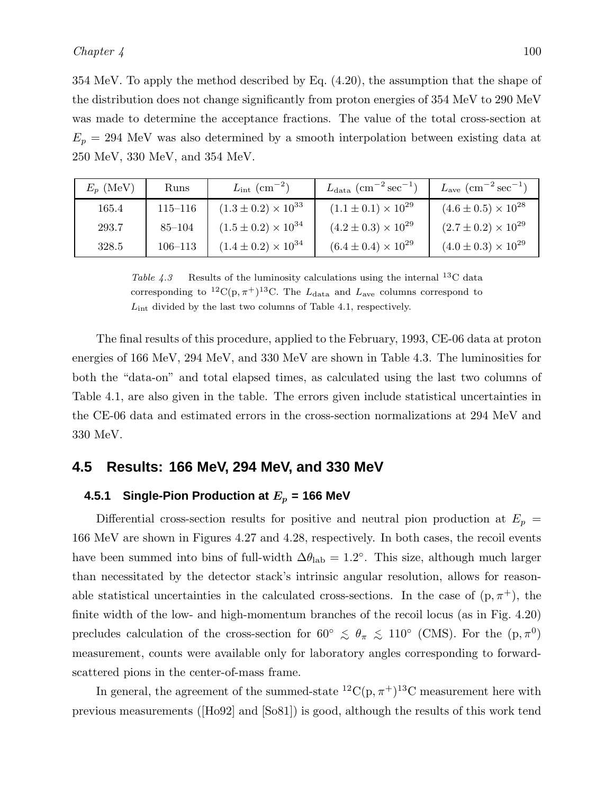354 MeV. To apply the method described by Eq. (4.20), the assumption that the shape of the distribution does not change significantly from proton energies of 354 MeV to 290 MeV was made to determine the acceptance fractions. The value of the total cross-section at  $E_p = 294$  MeV was also determined by a smooth interpolation between existing data at 250 MeV, 330 MeV, and 354 MeV.

| $E_p$ (MeV) | Runs        | $L_{\rm int}\,\,({\rm cm}^{-2})$ | $L_{\rm data}$ (cm <sup>-2</sup> sec <sup>-1</sup> ) | $L_{\rm ave}$ (cm <sup>-2</sup> sec <sup>-1</sup> ) |
|-------------|-------------|----------------------------------|------------------------------------------------------|-----------------------------------------------------|
| 165.4       | $115 - 116$ | $(1.3 \pm 0.2) \times 10^{33}$   | $(1.1 \pm 0.1) \times 10^{29}$                       | $(4.6 \pm 0.5) \times 10^{28}$                      |
| 293.7       | $85 - 104$  | $(1.5 \pm 0.2) \times 10^{34}$   | $(4.2 \pm 0.3) \times 10^{29}$                       | $(2.7 \pm 0.2) \times 10^{29}$                      |
| 328.5       | $106 - 113$ | $(1.4 \pm 0.2) \times 10^{34}$   | $(6.4 \pm 0.4) \times 10^{29}$                       | $(4.0 \pm 0.3) \times 10^{29}$                      |

Table 4.3 Results of the luminosity calculations using the internal <sup>13</sup>C data corresponding to <sup>12</sup>C(p,  $\pi$ <sup>+</sup>)<sup>13</sup>C. The  $L_{data}$  and  $L_{ave}$  columns correspond to  $L_{\text{int}}$  divided by the last two columns of Table 4.1, respectively.

The final results of this procedure, applied to the February, 1993, CE-06 data at proton energies of 166 MeV, 294 MeV, and 330 MeV are shown in Table 4.3. The luminosities for both the "data-on" and total elapsed times, as calculated using the last two columns of Table 4.1, are also given in the table. The errors given include statistical uncertainties in the CE-06 data and estimated errors in the cross-section normalizations at 294 MeV and 330 MeV.

### **4.5 Results: 166 MeV, 294 MeV, and 330 MeV**

# **4.5.1 Single-Pion Production at** E<sup>p</sup> **= 166 MeV**

Differential cross-section results for positive and neutral pion production at  $E_p =$ 166 MeV are shown in Figures 4.27 and 4.28, respectively. In both cases, the recoil events have been summed into bins of full-width  $\Delta\theta_{\rm lab} = 1.2^{\circ}$ . This size, although much larger than necessitated by the detector stack's intrinsic angular resolution, allows for reasonable statistical uncertainties in the calculated cross-sections. In the case of  $(p, \pi^+)$ , the finite width of the low- and high-momentum branches of the recoil locus (as in Fig. 4.20) precludes calculation of the cross-section for 60°  $\lesssim \theta_{\pi} \lesssim 110^{\circ}$  (CMS). For the  $(p, \pi^{0})$ measurement, counts were available only for laboratory angles corresponding to forwardscattered pions in the center-of-mass frame.

In general, the agreement of the summed-state  ${}^{12}C(p, \pi^+){}^{13}C$  measurement here with previous measurements ([Ho92] and [So81]) is good, although the results of this work tend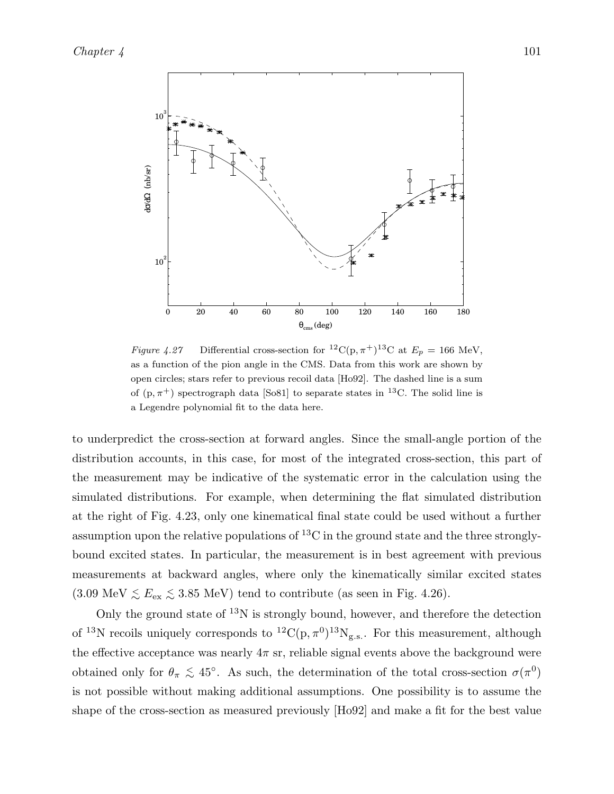

Figure 4.27 Differential cross-section for <sup>12</sup>C(p,  $\pi$ <sup>+</sup>)<sup>13</sup>C at  $E_p = 166$  MeV, as a function of the pion angle in the CMS. Data from this work are shown by open circles; stars refer to previous recoil data [Ho92]. The dashed line is a sum of  $(p, \pi^+)$  spectrograph data [So81] to separate states in <sup>13</sup>C. The solid line is a Legendre polynomial fit to the data here.

to underpredict the cross-section at forward angles. Since the small-angle portion of the distribution accounts, in this case, for most of the integrated cross-section, this part of the measurement may be indicative of the systematic error in the calculation using the simulated distributions. For example, when determining the flat simulated distribution at the right of Fig. 4.23, only one kinematical final state could be used without a further assumption upon the relative populations of  ${}^{13}$ C in the ground state and the three stronglybound excited states. In particular, the measurement is in best agreement with previous measurements at backward angles, where only the kinematically similar excited states  $(3.09 \text{ MeV} \lesssim E_{\text{ex}} \lesssim 3.85 \text{ MeV})$  tend to contribute (as seen in Fig. 4.26).

Only the ground state of  $^{13}N$  is strongly bound, however, and therefore the detection of <sup>13</sup>N recoils uniquely corresponds to  ${}^{12}C(p, \pi^0){}^{13}N_{g.s.}$ . For this measurement, although the effective acceptance was nearly  $4\pi$  sr, reliable signal events above the background were obtained only for  $\theta_{\pi} \leq 45^{\circ}$ . As such, the determination of the total cross-section  $\sigma(\pi^0)$ is not possible without making additional assumptions. One possibility is to assume the shape of the cross-section as measured previously [Ho92] and make a fit for the best value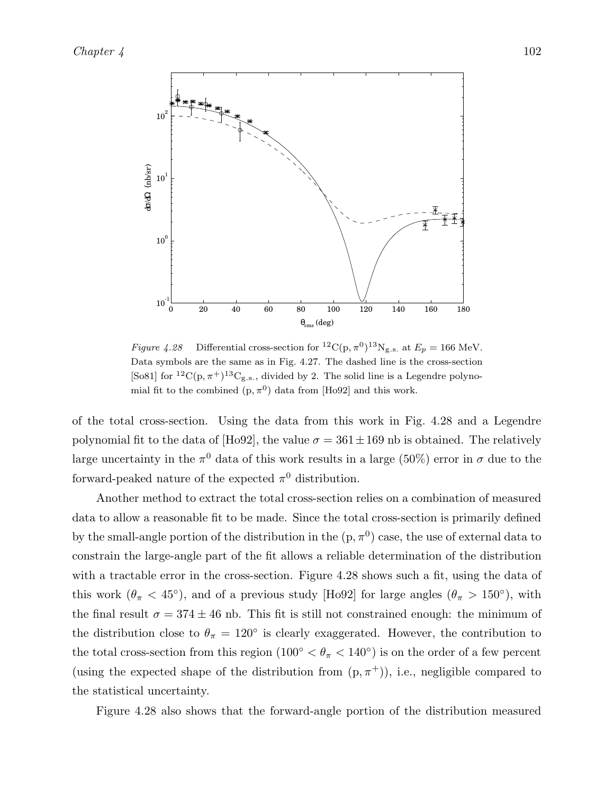

Figure 4.28 Differential cross-section for  ${}^{12}C(p, \pi^0){}^{13}N_{g.s.}$  at  $E_p = 166$  MeV. Data symbols are the same as in Fig. 4.27. The dashed line is the cross-section [So81] for <sup>12</sup>C(p,  $\pi$ <sup>+</sup>)<sup>13</sup>C<sub>g.s.</sub>, divided by 2. The solid line is a Legendre polynomial fit to the combined  $(p, \pi^0)$  data from [Ho92] and this work.

of the total cross-section. Using the data from this work in Fig. 4.28 and a Legendre polynomial fit to the data of [Ho92], the value  $\sigma = 361 \pm 169$  nb is obtained. The relatively large uncertainty in the  $\pi^0$  data of this work results in a large (50%) error in  $\sigma$  due to the forward-peaked nature of the expected  $\pi^0$  distribution.

Another method to extract the total cross-section relies on a combination of measured data to allow a reasonable fit to be made. Since the total cross-section is primarily defined by the small-angle portion of the distribution in the  $(p, \pi^0)$  case, the use of external data to constrain the large-angle part of the fit allows a reliable determination of the distribution with a tractable error in the cross-section. Figure 4.28 shows such a fit, using the data of this work  $(\theta_{\pi} < 45^{\circ})$ , and of a previous study [Ho92] for large angles  $(\theta_{\pi} > 150^{\circ})$ , with the final result  $\sigma = 374 \pm 46$  nb. This fit is still not constrained enough: the minimum of the distribution close to  $\theta_{\pi} = 120^{\circ}$  is clearly exaggerated. However, the contribution to the total cross-section from this region  $(100<sup>°</sup> < \theta<sub>\pi</sub> < 140<sup>°</sup>)$  is on the order of a few percent (using the expected shape of the distribution from  $(p, \pi^+)$ ), i.e., negligible compared to the statistical uncertainty.

Figure 4.28 also shows that the forward-angle portion of the distribution measured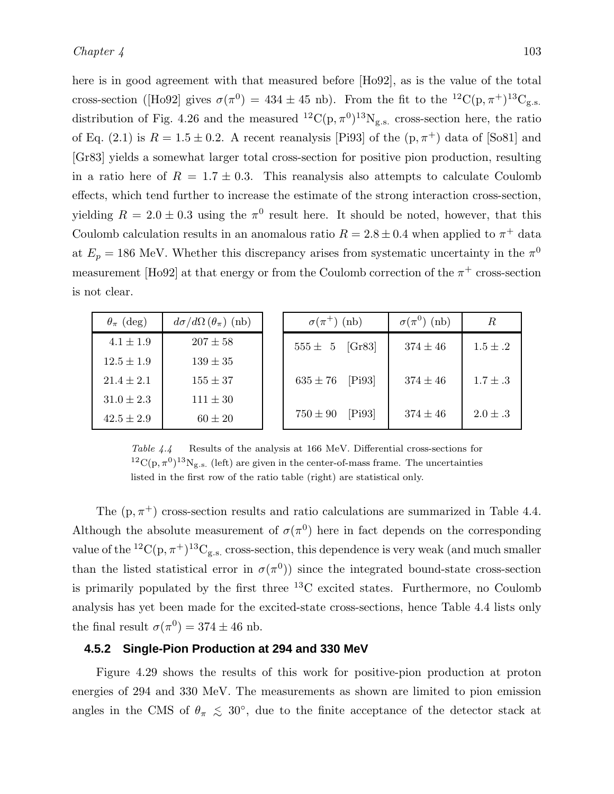here is in good agreement with that measured before [Ho92], as is the value of the total cross-section ([Ho92] gives  $\sigma(\pi^0) = 434 \pm 45$  nb). From the fit to the  ${}^{12}C(p, \pi^+){}^{13}C_{g.s.}$ distribution of Fig. 4.26 and the measured  ${}^{12}C(p, \pi^0){}^{13}N_{g.s.}$  cross-section here, the ratio of Eq. (2.1) is  $R = 1.5 \pm 0.2$ . A recent reanalysis [Pi93] of the  $(p, \pi^+)$  data of [So81] and [Gr83] yields a somewhat larger total cross-section for positive pion production, resulting in a ratio here of  $R = 1.7 \pm 0.3$ . This reanalysis also attempts to calculate Coulomb effects, which tend further to increase the estimate of the strong interaction cross-section, yielding  $R = 2.0 \pm 0.3$  using the  $\pi^0$  result here. It should be noted, however, that this Coulomb calculation results in an anomalous ratio  $R = 2.8 \pm 0.4$  when applied to  $\pi^{+}$  data at  $E_p = 186$  MeV. Whether this discrepancy arises from systematic uncertainty in the  $\pi^0$ measurement [Ho92] at that energy or from the Coulomb correction of the  $\pi^+$  cross-section is not clear.

| $\theta_{\pi}$ (deg) | $d\sigma/d\Omega(\theta_{\pi})$ (nb) | $\sigma(\pi^+)$ (nb)   | $\sigma(\pi^0)$ (nb) | $_{R}$       |
|----------------------|--------------------------------------|------------------------|----------------------|--------------|
| $4.1 \pm 1.9$        | $207 \pm 58$                         | [Gr83]<br>$555 \pm 5$  | $374 \pm 46$         | $1.5 \pm .2$ |
| $12.5 \pm 1.9$       | $139 \pm 35$                         |                        |                      |              |
| $21.4 \pm 2.1$       | $155 \pm 37$                         | [Pi93]<br>$635 \pm 76$ | $374 \pm 46$         | $1.7 \pm .3$ |
| $31.0 \pm 2.3$       | $111 \pm 30$                         |                        |                      |              |
| $42.5 \pm 2.9$       | $60 \pm 20$                          | [Pi93]<br>$750 \pm 90$ | $374 \pm 46$         | $2.0 \pm .3$ |

Table 4.4 Results of the analysis at 166 MeV. Differential cross-sections for  ${}^{12}C(p, \pi^0){}^{13}N_{g.s.}$  (left) are given in the center-of-mass frame. The uncertainties listed in the first row of the ratio table (right) are statistical only.

The  $(p, \pi^+)$  cross-section results and ratio calculations are summarized in Table 4.4. Although the absolute measurement of  $\sigma(\pi^0)$  here in fact depends on the corresponding value of the <sup>12</sup>C(p,  $\pi$ <sup>+</sup>)<sup>13</sup>C<sub>g.s.</sub> cross-section, this dependence is very weak (and much smaller than the listed statistical error in  $\sigma(\pi^0)$  since the integrated bound-state cross-section is primarily populated by the first three  ${}^{13}$ C excited states. Furthermore, no Coulomb analysis has yet been made for the excited-state cross-sections, hence Table 4.4 lists only the final result  $\sigma(\pi^0) = 374 \pm 46$  nb.

#### **4.5.2 Single-Pion Production at 294 and 330 MeV**

Figure 4.29 shows the results of this work for positive-pion production at proton energies of 294 and 330 MeV. The measurements as shown are limited to pion emission angles in the CMS of  $\theta_{\pi} \leq 30^{\circ}$ , due to the finite acceptance of the detector stack at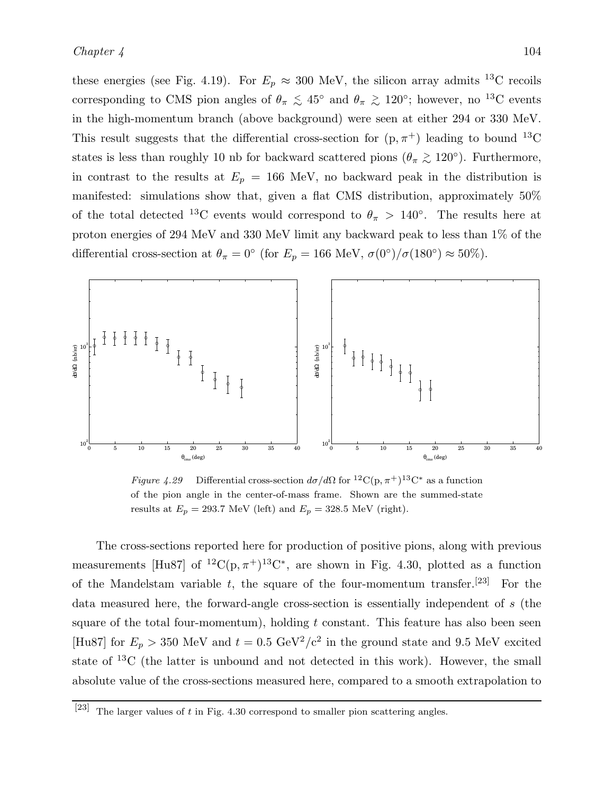these energies (see Fig. 4.19). For  $E_p \approx 300$  MeV, the silicon array admits <sup>13</sup>C recoils corresponding to CMS pion angles of  $\theta_{\pi} \leq 45^{\circ}$  and  $\theta_{\pi} \geq 120^{\circ}$ ; however, no <sup>13</sup>C events in the high-momentum branch (above background) were seen at either 294 or 330 MeV. This result suggests that the differential cross-section for  $(p, \pi^+)$  leading to bound <sup>13</sup>C states is less than roughly 10 nb for backward scattered pions ( $\theta_{\pi} \gtrsim 120^{\circ}$ ). Furthermore, in contrast to the results at  $E_p = 166$  MeV, no backward peak in the distribution is manifested: simulations show that, given a flat CMS distribution, approximately 50% of the total detected <sup>13</sup>C events would correspond to  $\theta_{\pi} > 140^{\circ}$ . The results here at proton energies of 294 MeV and 330 MeV limit any backward peak to less than 1% of the differential cross-section at  $\theta_{\pi} = 0^{\circ}$  (for  $E_p = 166$  MeV,  $\sigma(0^{\circ})/\sigma(180^{\circ}) \approx 50\%$ ).



Figure 4.29 Differential cross-section  $d\sigma/d\Omega$  for  ${}^{12}C(p,\pi^+){}^{13}C^*$  as a function of the pion angle in the center-of-mass frame. Shown are the summed-state results at  $E_p = 293.7 \text{ MeV (left) and } E_p = 328.5 \text{ MeV (right)}.$ 

The cross-sections reported here for production of positive pions, along with previous measurements [Hu87] of <sup>12</sup>C(p,  $\pi$ <sup>+</sup>)<sup>13</sup>C<sup>\*</sup>, are shown in Fig. 4.30, plotted as a function of the Mandelstam variable  $t$ , the square of the four-momentum transfer.<sup>[23]</sup> For the data measured here, the forward-angle cross-section is essentially independent of s (the square of the total four-momentum), holding  $t$  constant. This feature has also been seen [Hu87] for  $E_p > 350$  MeV and  $t = 0.5$  GeV<sup>2</sup>/c<sup>2</sup> in the ground state and 9.5 MeV excited state of <sup>13</sup>C (the latter is unbound and not detected in this work). However, the small absolute value of the cross-sections measured here, compared to a smooth extrapolation to

<sup>[23]</sup> The larger values of t in Fig. 4.30 correspond to smaller pion scattering angles.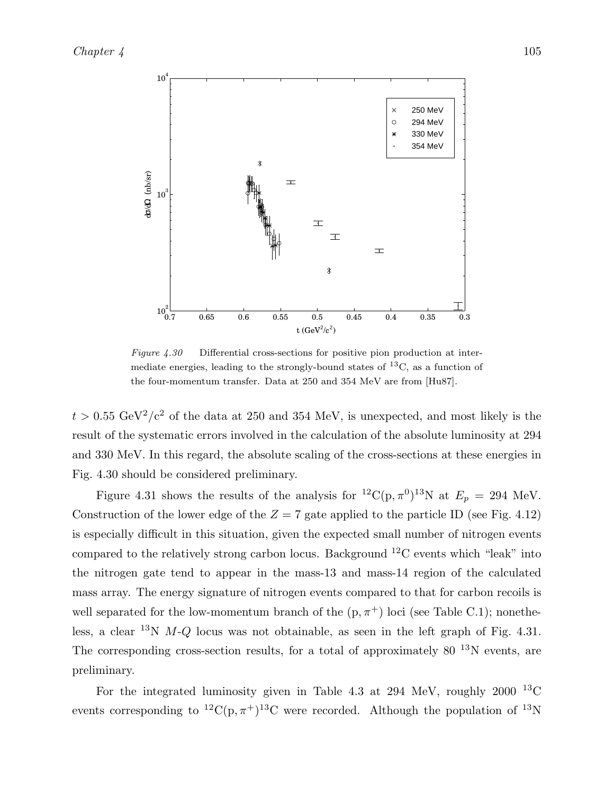

Figure 4.30 Differential cross-sections for positive pion production at intermediate energies, leading to the strongly-bound states of  ${}^{13}C$ , as a function of the four-momentum transfer. Data at 250 and 354 MeV are from [Hu87].

 $t > 0.55 \text{ GeV}^2/c^2$  of the data at 250 and 354 MeV, is unexpected, and most likely is the result of the systematic errors involved in the calculation of the absolute luminosity at 294 and 330 MeV. In this regard, the absolute scaling of the cross-sections at these energies in Fig. 4.30 should be considered preliminary.

Figure 4.31 shows the results of the analysis for <sup>12</sup>C(p,  $\pi^0$ )<sup>13</sup>N at  $E_p = 294$  MeV. Construction of the lower edge of the  $Z = 7$  gate applied to the particle ID (see Fig. 4.12) is especially difficult in this situation, given the expected small number of nitrogen events compared to the relatively strong carbon locus. Background <sup>12</sup>C events which "leak" into the nitrogen gate tend to appear in the mass-13 and mass-14 region of the calculated mass array. The energy signature of nitrogen events compared to that for carbon recoils is well separated for the low-momentum branch of the  $(p, \pi^+)$  loci (see Table C.1); nonetheless, a clear <sup>13</sup>N  $M-Q$  locus was not obtainable, as seen in the left graph of Fig. 4.31. The corresponding cross-section results, for a total of approximately  $80^{-13}$ N events, are preliminary.

For the integrated luminosity given in Table 4.3 at 294 MeV, roughly 2000  $^{13}$ C events corresponding to  ${}^{12}C(p,\pi^+){}^{13}C$  were recorded. Although the population of  ${}^{13}N$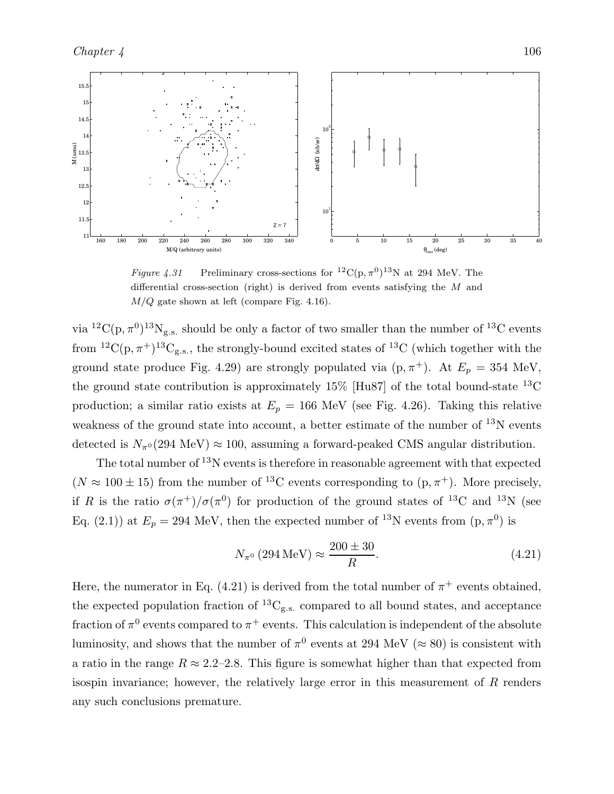

Figure 4.31 Preliminary cross-sections for  ${}^{12}C(p, \pi^0){}^{13}N$  at 294 MeV. The differential cross-section (right) is derived from events satisfying the  $M$  and  $M/Q$  gate shown at left (compare Fig. 4.16).

via  ${}^{12}C(p, \pi^0){}^{13}N_{g.s.}$  should be only a factor of two smaller than the number of  ${}^{13}C$  events from  ${}^{12}C(p, \pi^+){}^{13}C_{g.s.}$ , the strongly-bound excited states of  ${}^{13}C$  (which together with the ground state produce Fig. 4.29) are strongly populated via  $(p, \pi^+)$ . At  $E_p = 354$  MeV, the ground state contribution is approximately 15% [Hu87] of the total bound-state  $^{13}$ C production; a similar ratio exists at  $E_p = 166$  MeV (see Fig. 4.26). Taking this relative weakness of the ground state into account, a better estimate of the number of <sup>13</sup>N events detected is  $N_{\pi^0}(294 \text{ MeV}) \approx 100$ , assuming a forward-peaked CMS angular distribution.

The total number of  $^{13}N$  events is therefore in reasonable agreement with that expected  $(N \approx 100 \pm 15)$  from the number of <sup>13</sup>C events corresponding to  $(p, \pi^+)$ . More precisely, if R is the ratio  $\sigma(\pi^+)/\sigma(\pi^0)$  for production of the ground states of <sup>13</sup>C and <sup>13</sup>N (see Eq. (2.1)) at  $E_p = 294$  MeV, then the expected number of <sup>13</sup>N events from  $(p, \pi^0)$  is

$$
N_{\pi^0} (294 \,\text{MeV}) \approx \frac{200 \pm 30}{R}.\tag{4.21}
$$

Here, the numerator in Eq. (4.21) is derived from the total number of  $\pi^+$  events obtained, the expected population fraction of  ${}^{13}C_{g.s.}$  compared to all bound states, and acceptance fraction of  $\pi^0$  events compared to  $\pi^+$  events. This calculation is independent of the absolute luminosity, and shows that the number of  $\pi^0$  events at 294 MeV ( $\approx 80$ ) is consistent with a ratio in the range  $R \approx 2.2$ –2.8. This figure is somewhat higher than that expected from isospin invariance; however, the relatively large error in this measurement of  $R$  renders any such conclusions premature.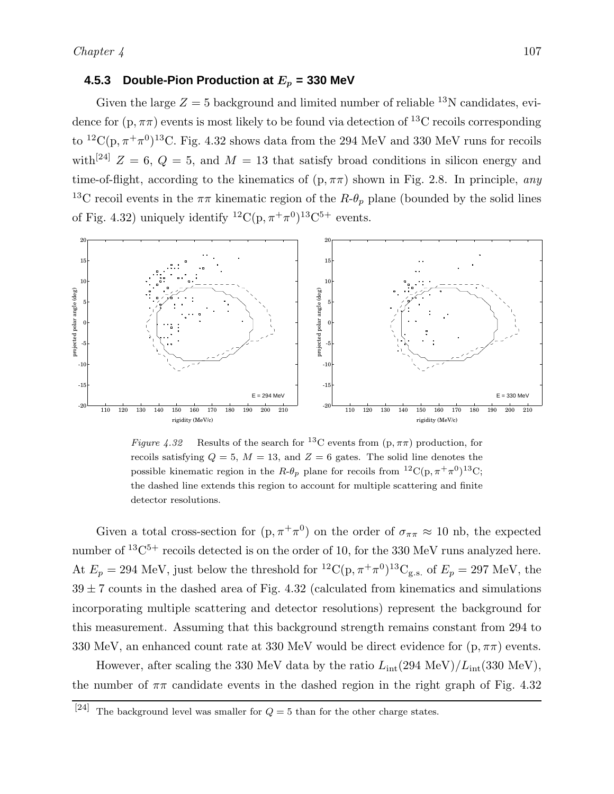#### **4.5.3 Double-Pion Production at**  $E_p$  = 330 MeV

Given the large  $Z = 5$  background and limited number of reliable <sup>13</sup>N candidates, evidence for  $(p, \pi\pi)$  events is most likely to be found via detection of <sup>13</sup>C recoils corresponding to  ${}^{12}C(p, \pi^+\pi^0){}^{13}C$ . Fig. 4.32 shows data from the 294 MeV and 330 MeV runs for recoils with<sup>[24]</sup>  $Z = 6$ ,  $Q = 5$ , and  $M = 13$  that satisfy broad conditions in silicon energy and time-of-flight, according to the kinematics of  $(p, \pi\pi)$  shown in Fig. 2.8. In principle, *any* <sup>13</sup>C recoil events in the  $\pi\pi$  kinematic region of the  $R-\theta_p$  plane (bounded by the solid lines of Fig. 4.32) uniquely identify  ${}^{12}C(p, \pi^+\pi^0){}^{13}C^{5+}$  events.



Figure 4.32 Results of the search for <sup>13</sup>C events from  $(p, \pi\pi)$  production, for recoils satisfying  $Q = 5$ ,  $M = 13$ , and  $Z = 6$  gates. The solid line denotes the possible kinematic region in the  $R-\theta_p$  plane for recoils from  ${}^{12}C(p, \pi^+\pi^0){}^{13}C;$ the dashed line extends this region to account for multiple scattering and finite detector resolutions.

Given a total cross-section for  $(p, \pi^+ \pi^0)$  on the order of  $\sigma_{\pi\pi} \approx 10$  nb, the expected number of  $^{13}C^{5+}$  recoils detected is on the order of 10, for the 330 MeV runs analyzed here. At  $E_p = 294$  MeV, just below the threshold for  ${}^{12}C(p, \pi^+\pi^0){}^{13}C_{g.s.}$  of  $E_p = 297$  MeV, the  $39 \pm 7$  counts in the dashed area of Fig. 4.32 (calculated from kinematics and simulations incorporating multiple scattering and detector resolutions) represent the background for this measurement. Assuming that this background strength remains constant from 294 to 330 MeV, an enhanced count rate at 330 MeV would be direct evidence for  $(p, \pi\pi)$  events.

However, after scaling the 330 MeV data by the ratio  $L_{\text{int}}(294 \text{ MeV})/L_{\text{int}}(330 \text{ MeV})$ , the number of  $\pi\pi$  candidate events in the dashed region in the right graph of Fig. 4.32

<sup>&</sup>lt;sup>[24]</sup> The background level was smaller for  $Q = 5$  than for the other charge states.